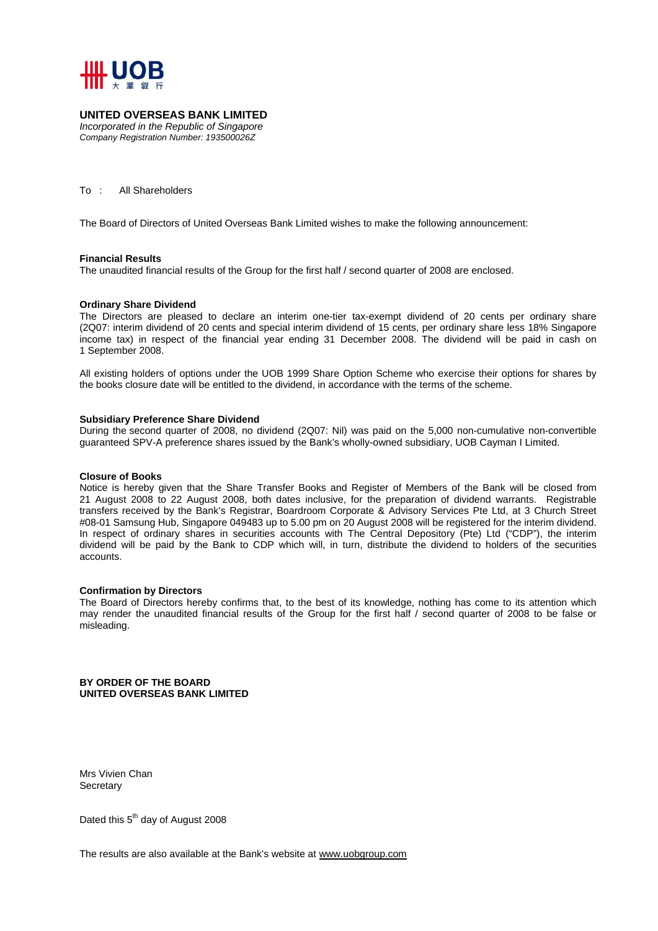

#### **UNITED OVERSEAS BANK LIMITED**

*Incorporated in the Republic of Singapore Company Registration Number: 193500026Z* 

To : All Shareholders

The Board of Directors of United Overseas Bank Limited wishes to make the following announcement:

#### **Financial Results**

The unaudited financial results of the Group for the first half / second quarter of 2008 are enclosed.

#### **Ordinary Share Dividend**

The Directors are pleased to declare an interim one-tier tax-exempt dividend of 20 cents per ordinary share (2Q07: interim dividend of 20 cents and special interim dividend of 15 cents, per ordinary share less 18% Singapore income tax) in respect of the financial year ending 31 December 2008. The dividend will be paid in cash on 1 September 2008.

All existing holders of options under the UOB 1999 Share Option Scheme who exercise their options for shares by the books closure date will be entitled to the dividend, in accordance with the terms of the scheme.

#### **Subsidiary Preference Share Dividend**

During the second quarter of 2008, no dividend (2Q07: Nil) was paid on the 5,000 non-cumulative non-convertible guaranteed SPV-A preference shares issued by the Bank's wholly-owned subsidiary, UOB Cayman I Limited.

#### **Closure of Books**

Notice is hereby given that the Share Transfer Books and Register of Members of the Bank will be closed from 21 August 2008 to 22 August 2008, both dates inclusive, for the preparation of dividend warrants. Registrable transfers received by the Bank's Registrar, Boardroom Corporate & Advisory Services Pte Ltd, at 3 Church Street #08-01 Samsung Hub, Singapore 049483 up to 5.00 pm on 20 August 2008 will be registered for the interim dividend. In respect of ordinary shares in securities accounts with The Central Depository (Pte) Ltd ("CDP"), the interim dividend will be paid by the Bank to CDP which will, in turn, distribute the dividend to holders of the securities accounts.

#### **Confirmation by Directors**

The Board of Directors hereby confirms that, to the best of its knowledge, nothing has come to its attention which may render the unaudited financial results of the Group for the first half / second quarter of 2008 to be false or misleading.

**BY ORDER OF THE BOARD UNITED OVERSEAS BANK LIMITED** 

Mrs Vivien Chan **Secretary** 

Dated this 5<sup>th</sup> day of August 2008

The results are also available at the Bank's website at www.uobgroup.com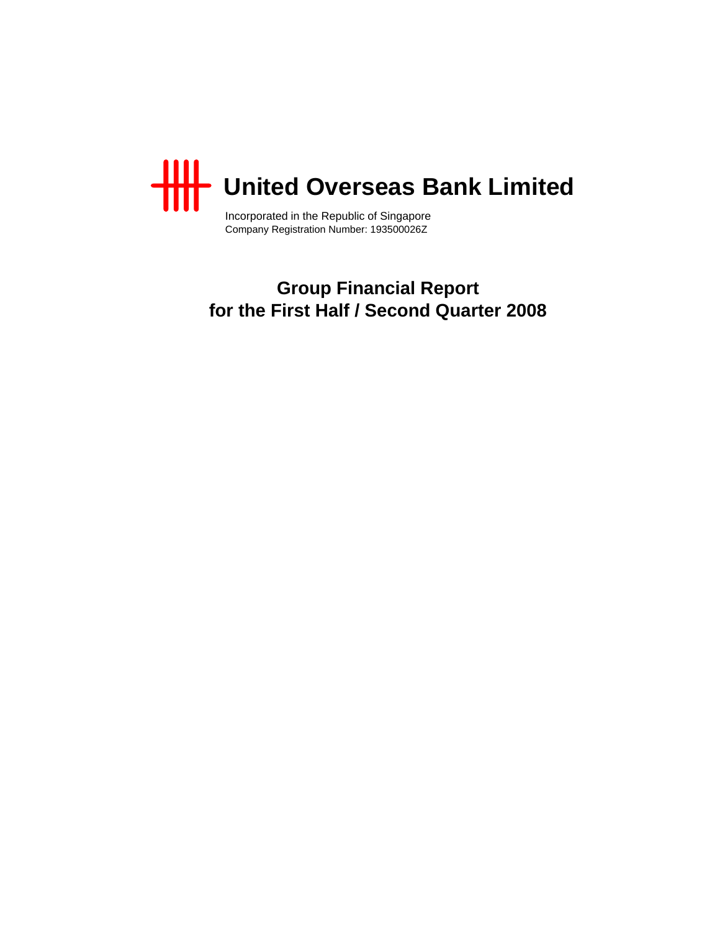

Incorporated in the Republic of Singapore Company Registration Number: 193500026Z

**Group Financial Report for the First Half / Second Quarter 2008**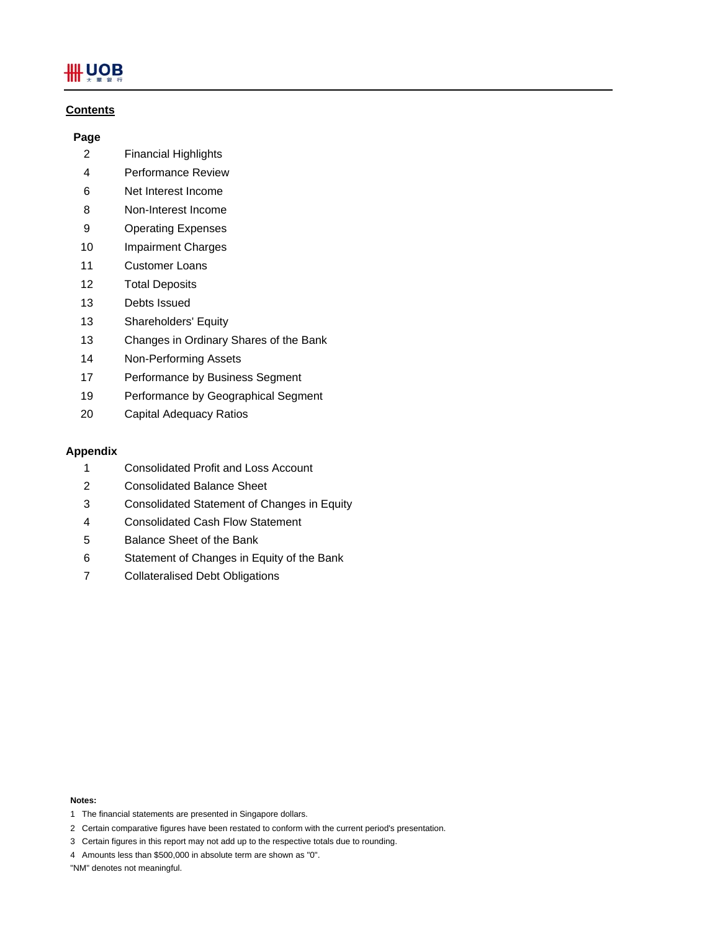# Щ UOB

## **Contents**

## **Page**

- 2 Financial Highlights
- 4 Performance Review
- 6 Net Interest Income
- 8 Non-Interest Income
- 9 Operating Expenses
- 10 Impairment Charges
- 11 Customer Loans
- 12 Total Deposits
- 13 Debts Issued
- 13 Shareholders' Equity
- 13 Changes in Ordinary Shares of the Bank
- 14 Non-Performing Assets
- 17 Performance by Business Segment
- 19 Performance by Geographical Segment
- 20 Capital Adequacy Ratios

## **Appendix**

- 1 Consolidated Profit and Loss Account
- 2 Consolidated Balance Sheet
- 3 Consolidated Statement of Changes in Equity
- 4 Consolidated Cash Flow Statement
- 5 Balance Sheet of the Bank
- 6 Statement of Changes in Equity of the Bank
- 7 Collateralised Debt Obligations

#### **Notes:**

- 1 The financial statements are presented in Singapore dollars.
- 2 Certain comparative figures have been restated to conform with the current period's presentation.
- 3 Certain figures in this report may not add up to the respective totals due to rounding.
- 4 Amounts less than \$500,000 in absolute term are shown as "0".

"NM" denotes not meaningful.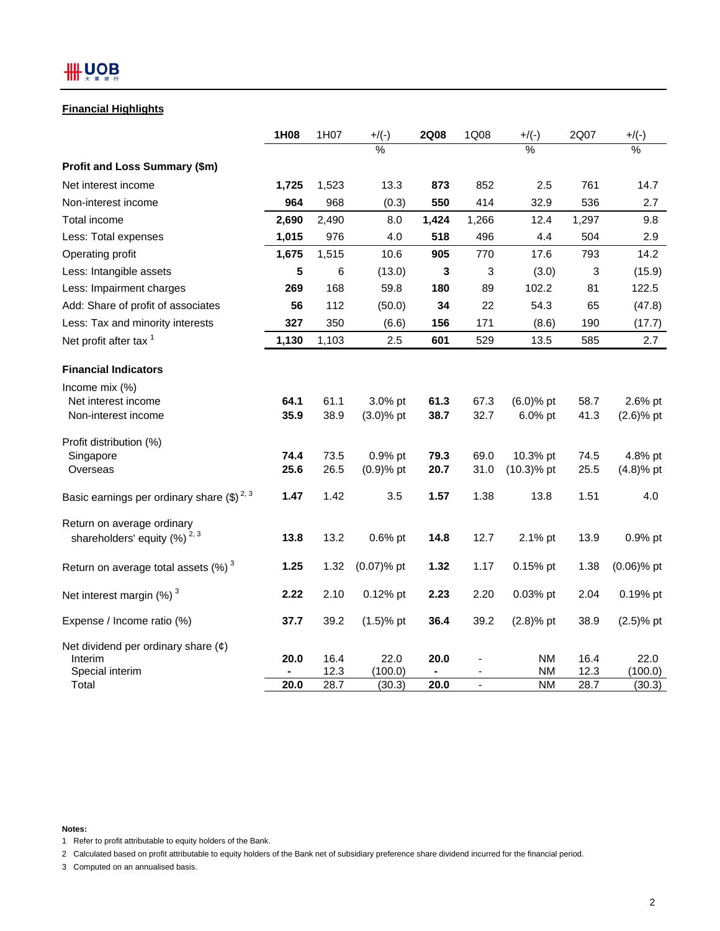## **Financial Highlights**

|                                                    | 1H08  | 1H07         | $+$ /(-)        | <b>2Q08</b> | 1Q08         | $+$ /(-)               | 2Q07         | $+$ /(-)        |
|----------------------------------------------------|-------|--------------|-----------------|-------------|--------------|------------------------|--------------|-----------------|
|                                                    |       |              | $\frac{0}{6}$   |             |              | %                      |              | %               |
| Profit and Loss Summary (\$m)                      |       |              |                 |             |              |                        |              |                 |
| Net interest income                                | 1,725 | 1,523        | 13.3            | 873         | 852          | 2.5                    | 761          | 14.7            |
| Non-interest income                                | 964   | 968          | (0.3)           | 550         | 414          | 32.9                   | 536          | 2.7             |
| Total income                                       | 2,690 | 2,490        | 8.0             | 1,424       | 1,266        | 12.4                   | 1,297        | 9.8             |
| Less: Total expenses                               | 1,015 | 976          | 4.0             | 518         | 496          | 4.4                    | 504          | 2.9             |
| Operating profit                                   | 1,675 | 1,515        | 10.6            | 905         | 770          | 17.6                   | 793          | 14.2            |
| Less: Intangible assets                            | 5     | 6            | (13.0)          | 3           | 3            | (3.0)                  | 3            | (15.9)          |
| Less: Impairment charges                           | 269   | 168          | 59.8            | 180         | 89           | 102.2                  | 81           | 122.5           |
| Add: Share of profit of associates                 | 56    | 112          | (50.0)          | 34          | 22           | 54.3                   | 65           | (47.8)          |
| Less: Tax and minority interests                   | 327   | 350          | (6.6)           | 156         | 171          | (8.6)                  | 190          | (17.7)          |
| Net profit after tax <sup>1</sup>                  | 1,130 | 1,103        | 2.5             | 601         | 529          | 13.5                   | 585          | 2.7             |
| <b>Financial Indicators</b>                        |       |              |                 |             |              |                        |              |                 |
| Income mix (%)                                     | 64.1  | 61.1         | 3.0% pt         | 61.3        |              | $(6.0)$ % pt           |              | 2.6% pt         |
| Net interest income<br>Non-interest income         | 35.9  | 38.9         | $(3.0)$ % pt    | 38.7        | 67.3<br>32.7 | 6.0% pt                | 58.7<br>41.3 | $(2.6)$ % pt    |
| Profit distribution (%)                            |       |              |                 |             |              |                        |              |                 |
| Singapore                                          | 74.4  | 73.5         | 0.9% pt         | 79.3        | 69.0         | 10.3% pt               | 74.5         | 4.8% pt         |
| Overseas                                           | 25.6  | 26.5         | $(0.9)$ % pt    | 20.7        | 31.0         | $(10.3)$ % pt          | 25.5         | $(4.8)%$ pt     |
| Basic earnings per ordinary share $(\$)^{2,3}$     | 1.47  | 1.42         | 3.5             | 1.57        | 1.38         | 13.8                   | 1.51         | 4.0             |
| Return on average ordinary                         |       |              |                 |             |              |                        |              |                 |
| shareholders' equity $(%)^{2,3}$                   | 13.8  | 13.2         | 0.6% pt         | 14.8        | 12.7         | 2.1% pt                | 13.9         | 0.9% pt         |
| Return on average total assets $(\%)$ <sup>3</sup> | 1.25  | 1.32         | (0.07)% pt      | 1.32        | 1.17         | 0.15% pt               | 1.38         | $(0.06)$ % pt   |
| Net interest margin $(\%)$ <sup>3</sup>            | 2.22  | 2.10         | 0.12% pt        | 2.23        | 2.20         | 0.03% pt               | 2.04         | 0.19% pt        |
| Expense / Income ratio (%)                         | 37.7  | 39.2         | $(1.5)$ % pt    | 36.4        | 39.2         | $(2.8)%$ pt            | 38.9         | $(2.5)$ % pt    |
| Net dividend per ordinary share $(\phi)$           |       |              |                 |             |              |                        |              |                 |
| Interim<br>Special interim                         | 20.0  | 16.4<br>12.3 | 22.0<br>(100.0) | 20.0        |              | <b>NM</b><br><b>NM</b> | 16.4<br>12.3 | 22.0<br>(100.0) |
| Total                                              | 20.0  | 28.7         | (30.3)          | 20.0        |              | <b>NM</b>              | 28.7         | (30.3)          |

**Notes:**

1 Refer to profit attributable to equity holders of the Bank.

2 Calculated based on profit attributable to equity holders of the Bank net of subsidiary preference share dividend incurred for the financial period.

3 Computed on an annualised basis.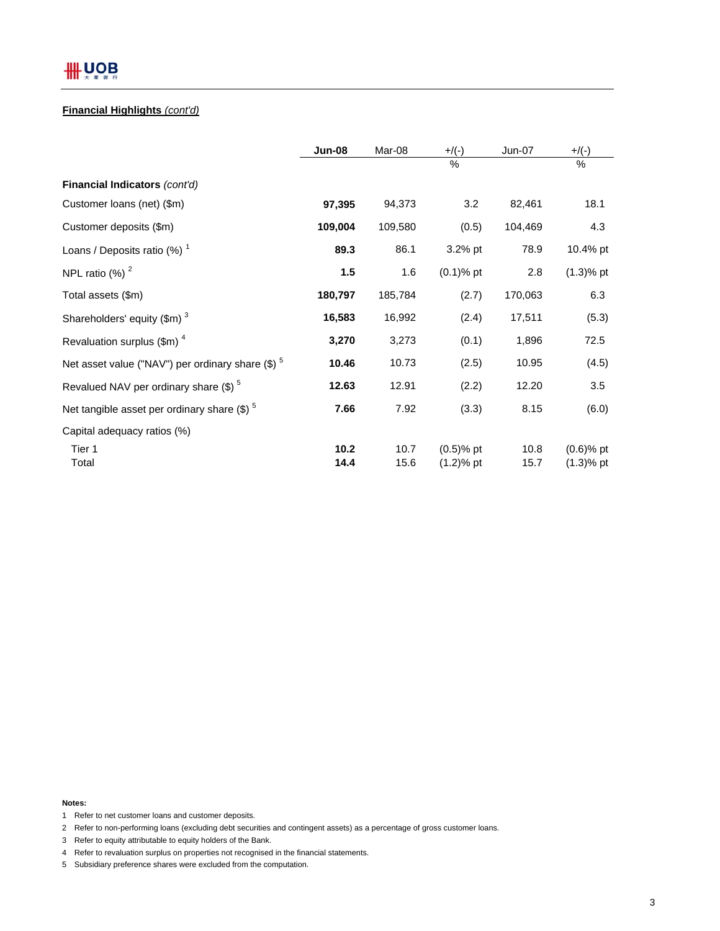## **Financial Highlights** *(cont'd)*

|                                                              | <b>Jun-08</b> | Mar-08       | $+/(-)$                      | <b>Jun-07</b> | $+$ /(-)                     |
|--------------------------------------------------------------|---------------|--------------|------------------------------|---------------|------------------------------|
|                                                              |               |              | $\frac{0}{0}$                |               | $\%$                         |
| Financial Indicators (cont'd)                                |               |              |                              |               |                              |
| Customer Ioans (net) (\$m)                                   | 97,395        | 94,373       | 3.2                          | 82,461        | 18.1                         |
| Customer deposits (\$m)                                      | 109,004       | 109,580      | (0.5)                        | 104,469       | 4.3                          |
| Loans / Deposits ratio $(\%)$ <sup>1</sup>                   | 89.3          | 86.1         | 3.2% pt                      | 78.9          | 10.4% pt                     |
| NPL ratio $(%)2$                                             | 1.5           | 1.6          | $(0.1)$ % pt                 | 2.8           | $(1.3)$ % pt                 |
| Total assets (\$m)                                           | 180,797       | 185,784      | (2.7)                        | 170,063       | 6.3                          |
| Shareholders' equity (\$m) <sup>3</sup>                      | 16,583        | 16,992       | (2.4)                        | 17,511        | (5.3)                        |
| Revaluation surplus $(\text{Im})^4$                          | 3,270         | 3,273        | (0.1)                        | 1,896         | 72.5                         |
| Net asset value ("NAV") per ordinary share (\$) <sup>5</sup> | 10.46         | 10.73        | (2.5)                        | 10.95         | (4.5)                        |
| Revalued NAV per ordinary share $(\$)^5$                     | 12.63         | 12.91        | (2.2)                        | 12.20         | 3.5                          |
| Net tangible asset per ordinary share $(\$)^5$               | 7.66          | 7.92         | (3.3)                        | 8.15          | (6.0)                        |
| Capital adequacy ratios (%)                                  |               |              |                              |               |                              |
| Tier 1<br>Total                                              | 10.2<br>14.4  | 10.7<br>15.6 | $(0.5)$ % pt<br>$(1.2)$ % pt | 10.8<br>15.7  | $(0.6)$ % pt<br>$(1.3)$ % pt |

**Notes:**

- 1 Refer to net customer loans and customer deposits.
- 2 Refer to non-performing loans (excluding debt securities and contingent assets) as a percentage of gross customer loans.
- 3 Refer to equity attributable to equity holders of the Bank.
- 4 Refer to revaluation surplus on properties not recognised in the financial statements.
- 5 Subsidiary preference shares were excluded from the computation.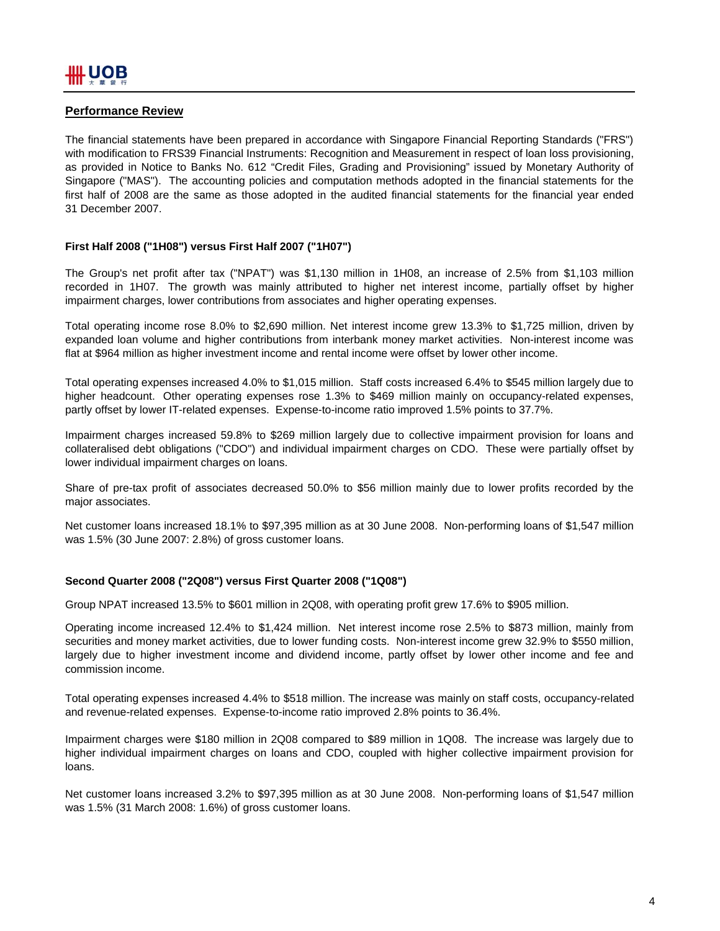## **Performance Review**

The financial statements have been prepared in accordance with Singapore Financial Reporting Standards ("FRS") with modification to FRS39 Financial Instruments: Recognition and Measurement in respect of loan loss provisioning, as provided in Notice to Banks No. 612 "Credit Files, Grading and Provisioning" issued by Monetary Authority of Singapore ("MAS"). The accounting policies and computation methods adopted in the financial statements for the first half of 2008 are the same as those adopted in the audited financial statements for the financial year ended 31 December 2007.

#### **First Half 2008 ("1H08") versus First Half 2007 ("1H07")**

The Group's net profit after tax ("NPAT") was \$1,130 million in 1H08, an increase of 2.5% from \$1,103 million recorded in 1H07. The growth was mainly attributed to higher net interest income, partially offset by higher impairment charges, lower contributions from associates and higher operating expenses.

Total operating income rose 8.0% to \$2,690 million. Net interest income grew 13.3% to \$1,725 million, driven by expanded loan volume and higher contributions from interbank money market activities. Non-interest income was flat at \$964 million as higher investment income and rental income were offset by lower other income.

Total operating expenses increased 4.0% to \$1,015 million. Staff costs increased 6.4% to \$545 million largely due to higher headcount. Other operating expenses rose 1.3% to \$469 million mainly on occupancy-related expenses, partly offset by lower IT-related expenses. Expense-to-income ratio improved 1.5% points to 37.7%.

Impairment charges increased 59.8% to \$269 million largely due to collective impairment provision for loans and collateralised debt obligations ("CDO") and individual impairment charges on CDO. These were partially offset by lower individual impairment charges on loans.

Share of pre-tax profit of associates decreased 50.0% to \$56 million mainly due to lower profits recorded by the major associates.

Net customer loans increased 18.1% to \$97,395 million as at 30 June 2008. Non-performing loans of \$1,547 million was 1.5% (30 June 2007: 2.8%) of gross customer loans.

#### **Second Quarter 2008 ("2Q08") versus First Quarter 2008 ("1Q08")**

Group NPAT increased 13.5% to \$601 million in 2Q08, with operating profit grew 17.6% to \$905 million.

Operating income increased 12.4% to \$1,424 million. Net interest income rose 2.5% to \$873 million, mainly from securities and money market activities, due to lower funding costs. Non-interest income grew 32.9% to \$550 million, largely due to higher investment income and dividend income, partly offset by lower other income and fee and commission income.

Total operating expenses increased 4.4% to \$518 million. The increase was mainly on staff costs, occupancy-related and revenue-related expenses. Expense-to-income ratio improved 2.8% points to 36.4%.

Impairment charges were \$180 million in 2Q08 compared to \$89 million in 1Q08. The increase was largely due to higher individual impairment charges on loans and CDO, coupled with higher collective impairment provision for loans.

Net customer loans increased 3.2% to \$97,395 million as at 30 June 2008. Non-performing loans of \$1,547 million was 1.5% (31 March 2008: 1.6%) of gross customer loans.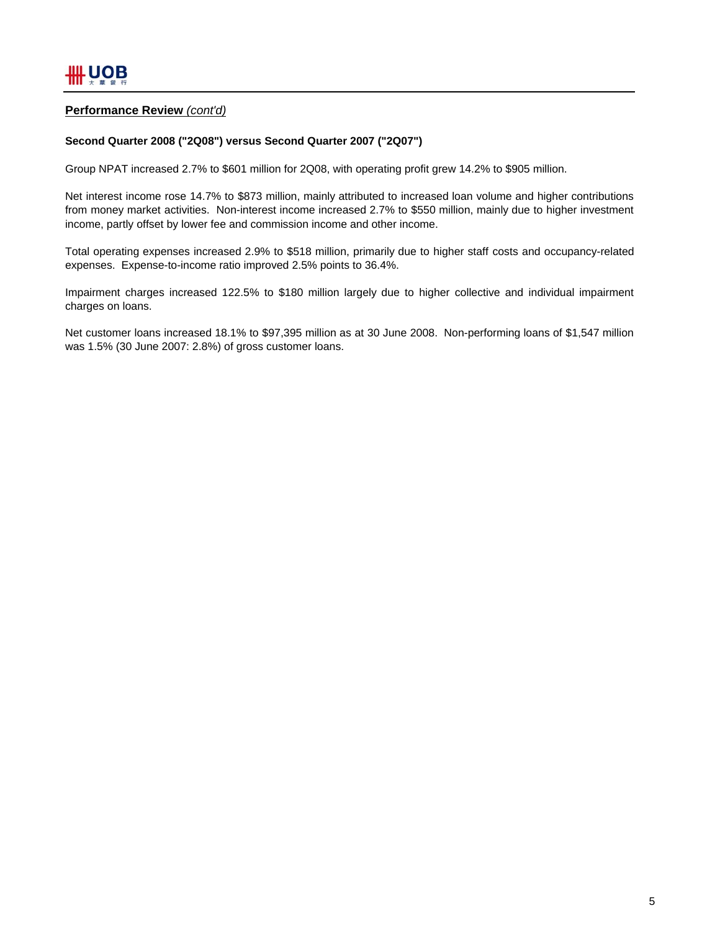## **Performance Review** *(cont'd)*

#### **Second Quarter 2008 ("2Q08") versus Second Quarter 2007 ("2Q07")**

Group NPAT increased 2.7% to \$601 million for 2Q08, with operating profit grew 14.2% to \$905 million.

Net interest income rose 14.7% to \$873 million, mainly attributed to increased loan volume and higher contributions from money market activities. Non-interest income increased 2.7% to \$550 million, mainly due to higher investment income, partly offset by lower fee and commission income and other income.

Total operating expenses increased 2.9% to \$518 million, primarily due to higher staff costs and occupancy-related expenses. Expense-to-income ratio improved 2.5% points to 36.4%.

Impairment charges increased 122.5% to \$180 million largely due to higher collective and individual impairment charges on loans.

Net customer loans increased 18.1% to \$97,395 million as at 30 June 2008. Non-performing loans of \$1,547 million was 1.5% (30 June 2007: 2.8%) of gross customer loans.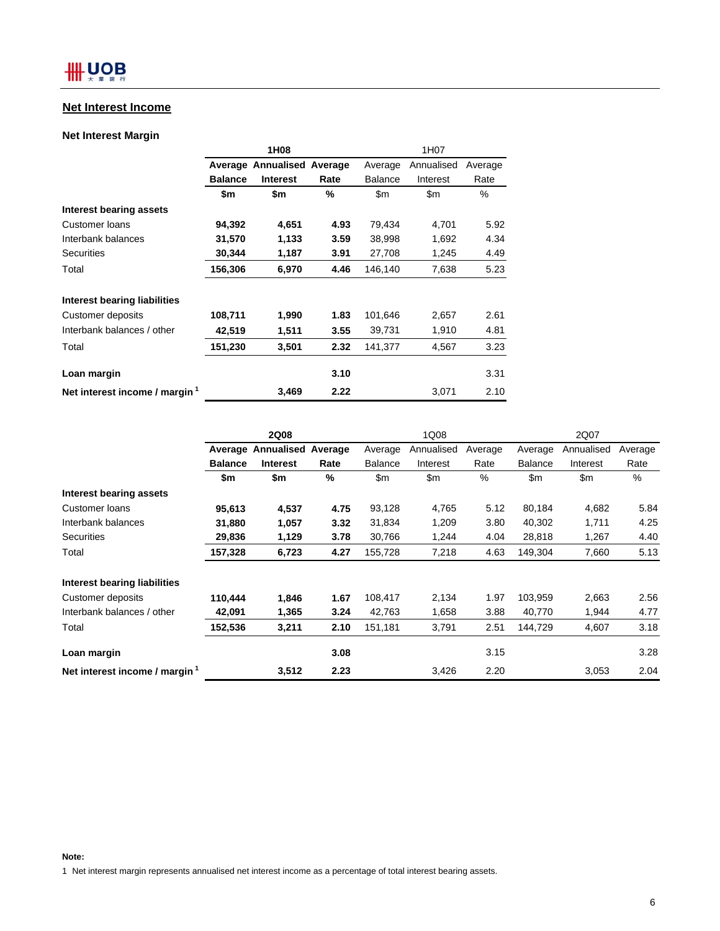## **Net Interest Income**

## **Net Interest Margin**

|                                | 1H08           |                            |      | 1H07           |            |         |  |
|--------------------------------|----------------|----------------------------|------|----------------|------------|---------|--|
|                                |                | Average Annualised Average |      | Average        | Annualised | Average |  |
|                                | <b>Balance</b> | <b>Interest</b>            | Rate | <b>Balance</b> | Interest   | Rate    |  |
|                                | \$m            | \$m                        | ℅    | \$m            | \$m        | %       |  |
| Interest bearing assets        |                |                            |      |                |            |         |  |
| Customer loans                 | 94,392         | 4,651                      | 4.93 | 79,434         | 4,701      | 5.92    |  |
| Interbank balances             | 31,570         | 1,133                      | 3.59 | 38,998         | 1,692      | 4.34    |  |
| <b>Securities</b>              | 30,344         | 1,187                      | 3.91 | 27,708         | 1,245      | 4.49    |  |
| Total                          | 156,306        | 6,970                      | 4.46 | 146,140        | 7,638      | 5.23    |  |
| Interest bearing liabilities   |                |                            |      |                |            |         |  |
| Customer deposits              | 108,711        | 1,990                      | 1.83 | 101,646        | 2,657      | 2.61    |  |
| Interbank balances / other     | 42,519         | 1,511                      | 3.55 | 39,731         | 1,910      | 4.81    |  |
| Total                          | 151,230        | 3,501                      | 2.32 | 141,377        | 4,567      | 3.23    |  |
| Loan margin                    |                |                            | 3.10 |                |            | 3.31    |  |
| Net interest income / margin 1 |                | 3,469                      | 2.22 |                | 3,071      | 2.10    |  |

|                                | <b>2Q08</b>    |                            |      | 1Q08           |            |         | 2Q07           |            |         |
|--------------------------------|----------------|----------------------------|------|----------------|------------|---------|----------------|------------|---------|
|                                |                | Average Annualised Average |      | Average        | Annualised | Average | Average        | Annualised | Average |
|                                | <b>Balance</b> | Interest                   | Rate | <b>Balance</b> | Interest   | Rate    | <b>Balance</b> | Interest   | Rate    |
|                                | \$m            | \$m                        | %    | \$m            | \$m        | %       | \$m            | \$m        | %       |
| Interest bearing assets        |                |                            |      |                |            |         |                |            |         |
| Customer loans                 | 95,613         | 4,537                      | 4.75 | 93,128         | 4,765      | 5.12    | 80,184         | 4,682      | 5.84    |
| Interbank balances             | 31,880         | 1,057                      | 3.32 | 31,834         | 1,209      | 3.80    | 40,302         | 1,711      | 4.25    |
| <b>Securities</b>              | 29,836         | 1,129                      | 3.78 | 30,766         | 1,244      | 4.04    | 28,818         | 1,267      | 4.40    |
| Total                          | 157,328        | 6,723                      | 4.27 | 155,728        | 7,218      | 4.63    | 149,304        | 7,660      | 5.13    |
| Interest bearing liabilities   |                |                            |      |                |            |         |                |            |         |
| Customer deposits              | 110.444        | 1,846                      | 1.67 | 108,417        | 2,134      | 1.97    | 103,959        | 2,663      | 2.56    |
| Interbank balances / other     | 42,091         | 1,365                      | 3.24 | 42,763         | 1,658      | 3.88    | 40,770         | 1,944      | 4.77    |
| Total                          | 152,536        | 3,211                      | 2.10 | 151,181        | 3,791      | 2.51    | 144,729        | 4,607      | 3.18    |
| Loan margin                    |                |                            | 3.08 |                |            | 3.15    |                |            | 3.28    |
| Net interest income / margin 1 |                | 3,512                      | 2.23 |                | 3.426      | 2.20    |                | 3,053      | 2.04    |

1 Net interest margin represents annualised net interest income as a percentage of total interest bearing assets.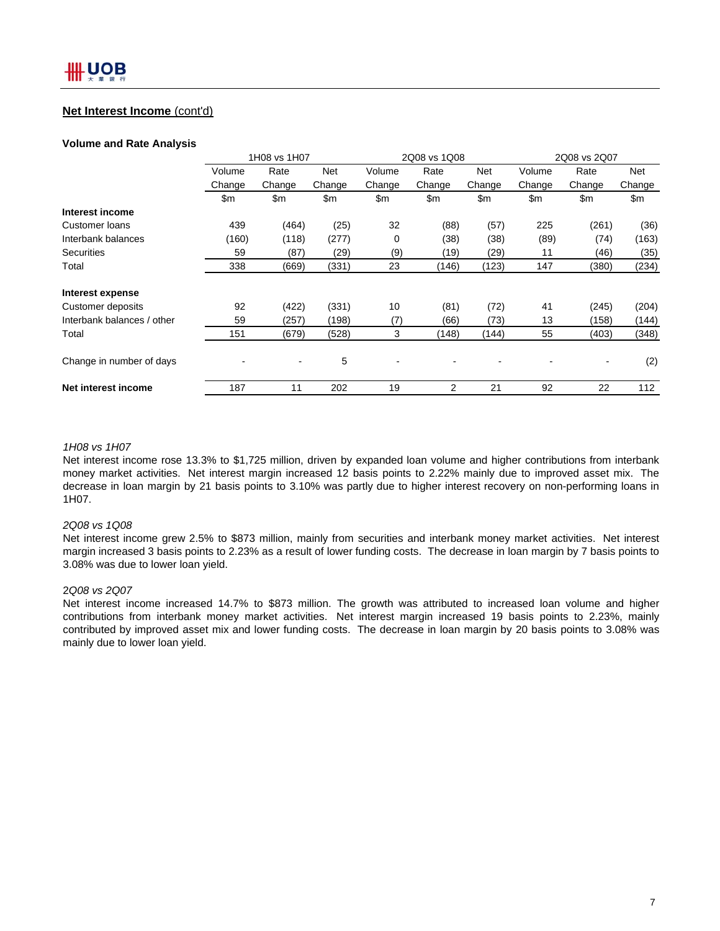## **Net Interest Income** (cont'd)

#### **Volume and Rate Analysis**

|                            | 1H08 vs 1H07 |        |               |        | 2Q08 vs 1Q08   |            |        | 2Q08 vs 2Q07  |        |  |
|----------------------------|--------------|--------|---------------|--------|----------------|------------|--------|---------------|--------|--|
|                            | Volume       | Rate   | Net           | Volume | Rate           | <b>Net</b> | Volume | Rate          | Net    |  |
|                            | Change       | Change | Change        | Change | Change         | Change     | Change | Change        | Change |  |
|                            | \$m          | \$m    | $\mathsf{Sm}$ | \$m    | \$m            | \$m        | \$m    | $\mathsf{Sm}$ | \$m\$  |  |
| Interest income            |              |        |               |        |                |            |        |               |        |  |
| Customer Ioans             | 439          | (464)  | (25)          | 32     | (88)           | (57)       | 225    | (261)         | (36)   |  |
| Interbank balances         | (160)        | (118)  | (277)         | 0      | (38)           | (38)       | (89)   | (74)          | (163)  |  |
| <b>Securities</b>          | 59           | (87)   | (29)          | (9)    | (19)           | (29)       | 11     | (46)          | (35)   |  |
| Total                      | 338          | (669)  | (331)         | 23     | (146)          | (123)      | 147    | (380)         | (234)  |  |
| Interest expense           |              |        |               |        |                |            |        |               |        |  |
| Customer deposits          | 92           | (422)  | (331)         | 10     | (81)           | (72)       | 41     | (245)         | (204)  |  |
| Interbank balances / other | 59           | (257)  | (198)         | (7)    | (66)           | (73)       | 13     | (158)         | (144)  |  |
| Total                      | 151          | (679)  | (528)         | 3      | (148)          | (144)      | 55     | (403)         | (348)  |  |
| Change in number of days   |              |        | 5             |        |                |            |        |               | (2)    |  |
| Net interest income        | 187          | 11     | 202           | 19     | $\overline{2}$ | 21         | 92     | 22            | 112    |  |

#### *1H08 vs 1H07*

Net interest income rose 13.3% to \$1,725 million, driven by expanded loan volume and higher contributions from interbank money market activities. Net interest margin increased 12 basis points to 2.22% mainly due to improved asset mix. The decrease in loan margin by 21 basis points to 3.10% was partly due to higher interest recovery on non-performing loans in 1H07.

#### *2Q08 vs 1Q08*

Net interest income grew 2.5% to \$873 million, mainly from securities and interbank money market activities. Net interest margin increased 3 basis points to 2.23% as a result of lower funding costs. The decrease in loan margin by 7 basis points to 3.08% was due to lower loan yield.

#### 2*Q08 vs 2Q07*

Net interest income increased 14.7% to \$873 million. The growth was attributed to increased loan volume and higher contributions from interbank money market activities. Net interest margin increased 19 basis points to 2.23%, mainly contributed by improved asset mix and lower funding costs. The decrease in loan margin by 20 basis points to 3.08% was mainly due to lower loan yield.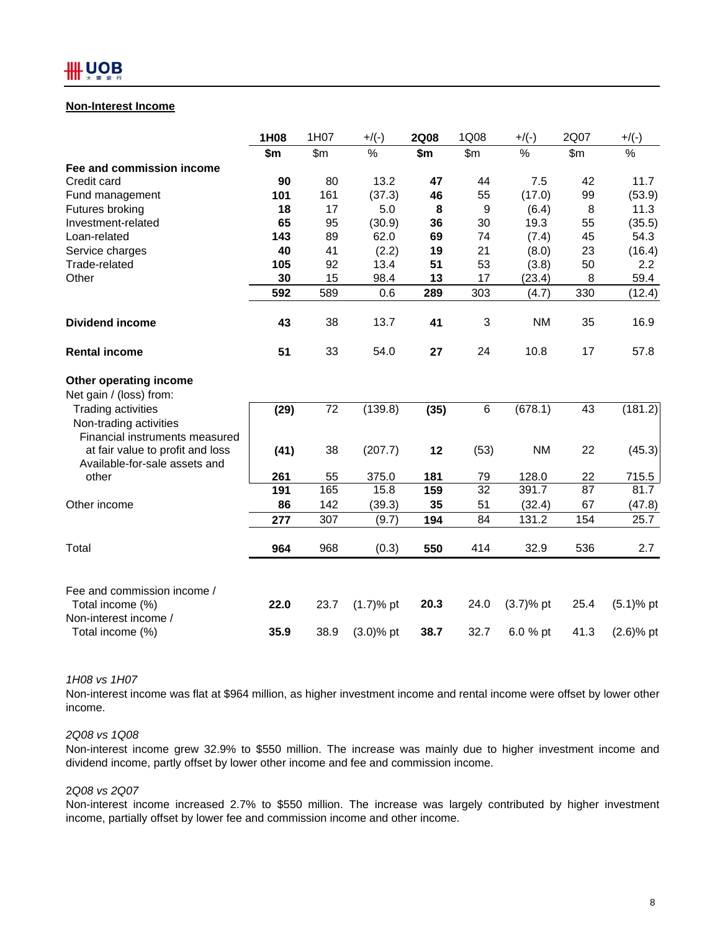## **Non-Interest Income**

|                                                                   | 1H08 | 1H07  | $+/(-)$      | <b>2Q08</b> | 1Q08  | $+/(-)$       | 2Q07  | $+/(-)$      |
|-------------------------------------------------------------------|------|-------|--------------|-------------|-------|---------------|-------|--------------|
|                                                                   | \$m  | \$m\$ | %            | \$m         | \$m\$ | $\frac{0}{0}$ | \$m\$ | %            |
| Fee and commission income                                         |      |       |              |             |       |               |       |              |
| Credit card                                                       | 90   | 80    | 13.2         | 47          | 44    | 7.5           | 42    | 11.7         |
| Fund management                                                   | 101  | 161   | (37.3)       | 46          | 55    | (17.0)        | 99    | (53.9)       |
| Futures broking                                                   | 18   | 17    | 5.0          | 8           | 9     | (6.4)         | 8     | 11.3         |
| Investment-related                                                | 65   | 95    | (30.9)       | 36          | 30    | 19.3          | 55    | (35.5)       |
| Loan-related                                                      | 143  | 89    | 62.0         | 69          | 74    | (7.4)         | 45    | 54.3         |
| Service charges                                                   | 40   | 41    | (2.2)        | 19          | 21    | (8.0)         | 23    | (16.4)       |
| Trade-related                                                     | 105  | 92    | 13.4         | 51          | 53    | (3.8)         | 50    | 2.2          |
| Other                                                             | 30   | 15    | 98.4         | 13          | 17    | (23.4)        | 8     | 59.4         |
|                                                                   | 592  | 589   | 0.6          | 289         | 303   | (4.7)         | 330   | (12.4)       |
| <b>Dividend income</b>                                            | 43   | 38    | 13.7         | 41          | 3     | <b>NM</b>     | 35    | 16.9         |
| <b>Rental income</b>                                              | 51   | 33    | 54.0         | 27          | 24    | 10.8          | 17    | 57.8         |
| Other operating income                                            |      |       |              |             |       |               |       |              |
| Net gain / (loss) from:                                           |      |       |              |             |       |               |       |              |
| <b>Trading activities</b><br>Non-trading activities               | (29) | 72    | (139.8)      | (35)        | 6     | (678.1)       | 43    | (181.2)      |
| Financial instruments measured                                    |      |       |              |             |       |               |       |              |
| at fair value to profit and loss<br>Available-for-sale assets and | (41) | 38    | (207.7)      | 12          | (53)  | <b>NM</b>     | 22    | (45.3)       |
| other                                                             | 261  | 55    | 375.0        | 181         | 79    | 128.0         | 22    | 715.5        |
|                                                                   | 191  | 165   | 15.8         | 159         | 32    | 391.7         | 87    | 81.7         |
| Other income                                                      | 86   | 142   | (39.3)       | 35          | 51    | (32.4)        | 67    | (47.8)       |
|                                                                   | 277  | 307   | (9.7)        | 194         | 84    | 131.2         | 154   | 25.7         |
| Total                                                             | 964  | 968   | (0.3)        | 550         | 414   | 32.9          | 536   | 2.7          |
| Fee and commission income /                                       |      |       |              |             |       |               |       |              |
| Total income (%)<br>Non-interest income /                         | 22.0 | 23.7  | $(1.7)$ % pt | 20.3        | 24.0  | $(3.7)$ % pt  | 25.4  | $(5.1)$ % pt |
| Total income (%)                                                  | 35.9 | 38.9  | $(3.0)$ % pt | 38.7        | 32.7  | 6.0 % pt      | 41.3  | $(2.6)$ % pt |

#### *1H08 vs 1H07*

Non-interest income was flat at \$964 million, as higher investment income and rental income were offset by lower other income.

#### *2Q08 vs 1Q08*

Non-interest income grew 32.9% to \$550 million. The increase was mainly due to higher investment income and dividend income, partly offset by lower other income and fee and commission income.

#### 2*Q08 vs 2Q07*

Non-interest income increased 2.7% to \$550 million. The increase was largely contributed by higher investment income, partially offset by lower fee and commission income and other income.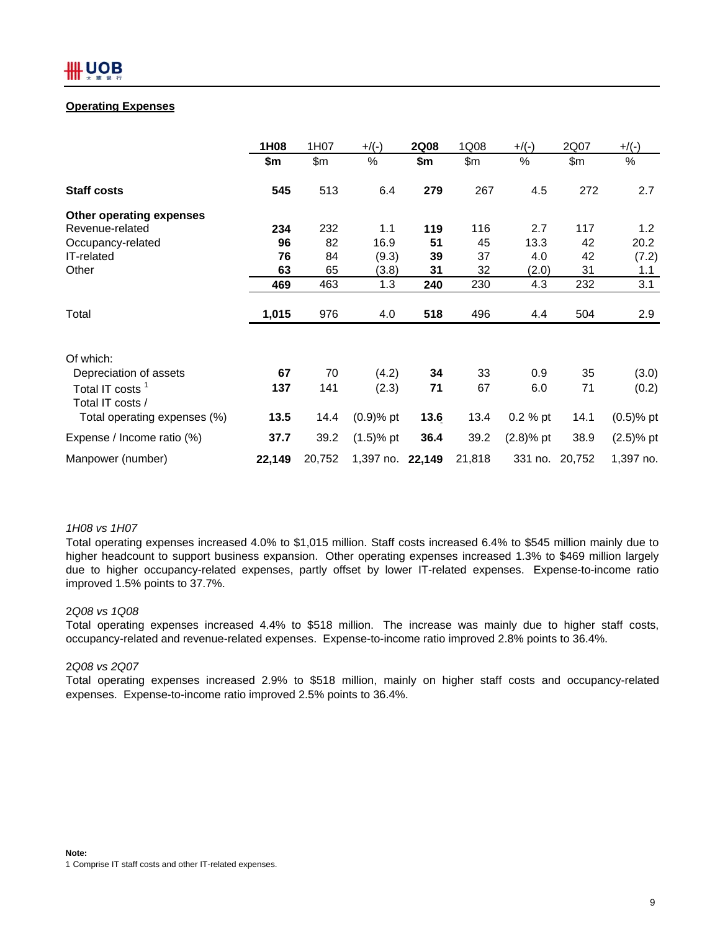## **Operating Expenses**

|                                                 | 1H08   | 1H07   | $+$ /(-)         | <b>2Q08</b> | 1Q08   | $+$ /(-)    | 2Q07           | $+$ /(-)     |
|-------------------------------------------------|--------|--------|------------------|-------------|--------|-------------|----------------|--------------|
|                                                 | \$m    | \$m\$  | %                | \$m         | \$m\$  | $\%$        | \$m\$          | %            |
| <b>Staff costs</b>                              | 545    | 513    | 6.4              | 279         | 267    | 4.5         | 272            | 2.7          |
| Other operating expenses                        |        |        |                  |             |        |             |                |              |
| Revenue-related                                 | 234    | 232    | 1.1              | 119         | 116    | 2.7         | 117            | 1.2          |
| Occupancy-related                               | 96     | 82     | 16.9             | 51          | 45     | 13.3        | 42             | 20.2         |
| IT-related                                      | 76     | 84     | (9.3)            | 39          | 37     | 4.0         | 42             | (7.2)        |
| Other                                           | 63     | 65     | (3.8)            | 31          | 32     | (2.0)       | 31             | 1.1          |
|                                                 | 469    | 463    | 1.3              | 240         | 230    | 4.3         | 232            | 3.1          |
| Total                                           | 1,015  | 976    | 4.0              | 518         | 496    | 4.4         | 504            | 2.9          |
| Of which:                                       |        |        |                  |             |        |             |                |              |
| Depreciation of assets                          | 67     | 70     | (4.2)            | 34          | 33     | 0.9         | 35             | (3.0)        |
| Total IT costs <sup>1</sup><br>Total IT costs / | 137    | 141    | (2.3)            | 71          | 67     | 6.0         | 71             | (0.2)        |
| Total operating expenses (%)                    | 13.5   | 14.4   | $(0.9)$ % pt     | 13.6        | 13.4   | $0.2 \%$ pt | 14.1           | $(0.5)$ % pt |
| Expense / Income ratio (%)                      | 37.7   | 39.2   | $(1.5)$ % pt     | 36.4        | 39.2   | $(2.8)%$ pt | 38.9           | $(2.5)$ % pt |
| Manpower (number)                               | 22,149 | 20,752 | 1,397 no. 22,149 |             | 21,818 |             | 331 no. 20,752 | 1,397 no.    |

#### *1H08 vs 1H07*

Total operating expenses increased 4.0% to \$1,015 million. Staff costs increased 6.4% to \$545 million mainly due to higher headcount to support business expansion. Other operating expenses increased 1.3% to \$469 million largely due to higher occupancy-related expenses, partly offset by lower IT-related expenses. Expense-to-income ratio improved 1.5% points to 37.7%.

#### 2*Q08 vs 1Q08*

Total operating expenses increased 4.4% to \$518 million. The increase was mainly due to higher staff costs, occupancy-related and revenue-related expenses. Expense-to-income ratio improved 2.8% points to 36.4%.

#### 2*Q08 vs 2Q07*

Total operating expenses increased 2.9% to \$518 million, mainly on higher staff costs and occupancy-related expenses. Expense-to-income ratio improved 2.5% points to 36.4%.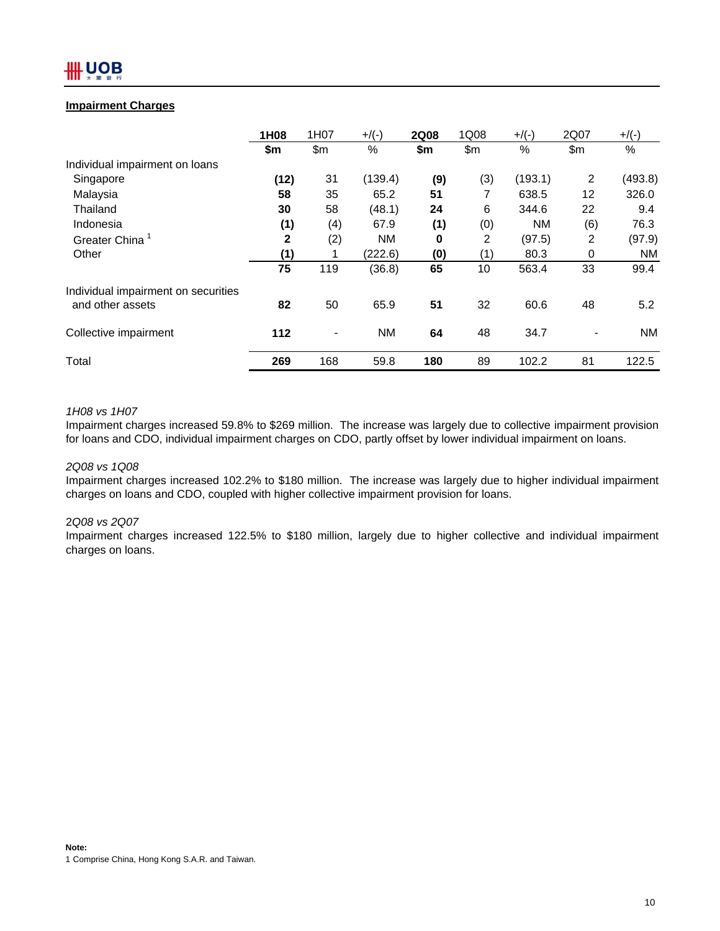## **Impairment Charges**

|                                     | 1H08         | 1H07  | $+$ /(-)  | <b>2Q08</b> | 1Q08 | $+$ /(-)  | 2Q07              | $+$ /(-)  |
|-------------------------------------|--------------|-------|-----------|-------------|------|-----------|-------------------|-----------|
|                                     | \$m          | \$m\$ | $\%$      | \$m         | \$m  | $\%$      | \$m\$             | %         |
| Individual impairment on loans      |              |       |           |             |      |           |                   |           |
| Singapore                           | (12)         | 31    | (139.4)   | (9)         | (3)  | (193.1)   | 2                 | (493.8)   |
| Malaysia                            | 58           | 35    | 65.2      | 51          | 7    | 638.5     | $12 \overline{ }$ | 326.0     |
| Thailand                            | 30           | 58    | (48.1)    | 24          | 6    | 344.6     | 22                | 9.4       |
| Indonesia                           | (1)          | (4)   | 67.9      | (1)         | (0)  | <b>NM</b> | (6)               | 76.3      |
| Greater China <sup>1</sup>          | $\mathbf{2}$ | (2)   | <b>NM</b> | $\bf{0}$    | 2    | (97.5)    | 2                 | (97.9)    |
| Other                               | (1)          |       | (222.6)   | (0)         | (1)  | 80.3      | 0                 | <b>NM</b> |
|                                     | 75           | 119   | (36.8)    | 65          | 10   | 563.4     | 33                | 99.4      |
| Individual impairment on securities |              |       |           |             |      |           |                   |           |
| and other assets                    | 82           | 50    | 65.9      | 51          | 32   | 60.6      | 48                | 5.2       |
| Collective impairment               | 112          |       | <b>NM</b> | 64          | 48   | 34.7      |                   | <b>NM</b> |
| Total                               | 269          | 168   | 59.8      | 180         | 89   | 102.2     | 81                | 122.5     |

## *1H08 vs 1H07*

Impairment charges increased 59.8% to \$269 million. The increase was largely due to collective impairment provision for loans and CDO, individual impairment charges on CDO, partly offset by lower individual impairment on loans.

## *2Q08 vs 1Q08*

Impairment charges increased 102.2% to \$180 million. The increase was largely due to higher individual impairment charges on loans and CDO, coupled with higher collective impairment provision for loans.

#### 2*Q08 vs 2Q07*

Impairment charges increased 122.5% to \$180 million, largely due to higher collective and individual impairment charges on loans.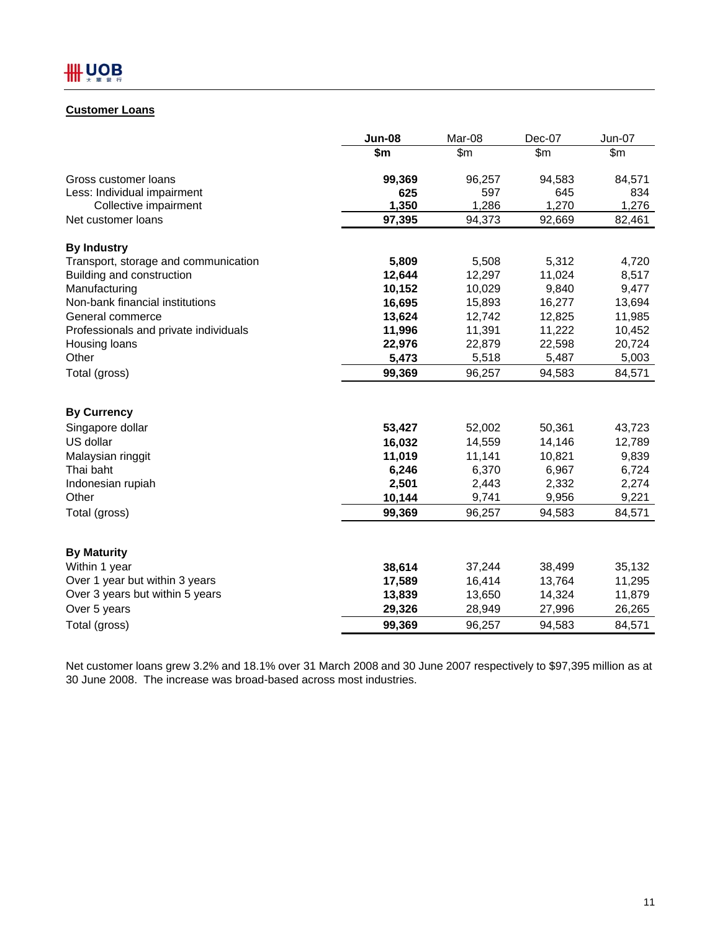## **Customer Loans**

|                                       | <b>Jun-08</b>    | Mar-08           | Dec-07           | Jun-07           |
|---------------------------------------|------------------|------------------|------------------|------------------|
|                                       | \$m              | \$m\$            | \$m\$            | \$m\$            |
| Gross customer loans                  | 99,369           | 96,257           | 94,583           | 84,571           |
| Less: Individual impairment           | 625              | 597              | 645              | 834              |
| Collective impairment                 | 1,350            | 1,286            | 1,270            | 1,276            |
| Net customer loans                    | 97,395           | 94,373           | 92,669           | 82,461           |
| <b>By Industry</b>                    |                  |                  |                  |                  |
| Transport, storage and communication  | 5,809            | 5,508            | 5,312            | 4,720            |
| Building and construction             | 12,644           | 12,297           | 11,024           | 8,517            |
| Manufacturing                         | 10,152           | 10,029           | 9,840            | 9,477            |
| Non-bank financial institutions       | 16,695           | 15,893           | 16,277           | 13,694           |
| General commerce                      | 13,624           | 12,742           | 12,825           | 11,985           |
| Professionals and private individuals | 11,996           | 11,391           | 11,222           | 10,452           |
| Housing loans                         | 22,976           | 22,879           | 22,598           | 20,724           |
| Other                                 | 5,473            | 5,518            | 5,487            | 5,003            |
| Total (gross)                         | 99,369           | 96,257           | 94,583           | 84,571           |
| <b>By Currency</b>                    |                  |                  |                  |                  |
| Singapore dollar                      | 53,427           | 52,002           | 50,361           | 43,723           |
| US dollar                             | 16,032           | 14,559           | 14,146           | 12,789           |
| Malaysian ringgit                     | 11,019           | 11,141           | 10,821           | 9,839            |
| Thai baht                             | 6,246            | 6,370            | 6,967            | 6,724            |
| Indonesian rupiah                     | 2,501            | 2,443            | 2,332            | 2,274            |
| Other                                 | 10,144           | 9,741            | 9,956            | 9,221            |
| Total (gross)                         | 99,369           | 96,257           | 94,583           | 84,571           |
|                                       |                  |                  |                  |                  |
| <b>By Maturity</b><br>Within 1 year   |                  |                  |                  |                  |
| Over 1 year but within 3 years        | 38,614           | 37,244           | 38,499           | 35,132           |
| Over 3 years but within 5 years       | 17,589<br>13,839 | 16,414<br>13,650 | 13,764<br>14,324 | 11,295<br>11,879 |
| Over 5 years                          |                  |                  |                  |                  |
|                                       | 29,326           | 28,949           | 27,996           | 26,265           |
| Total (gross)                         | 99,369           | 96,257           | 94,583           | 84,571           |

Net customer loans grew 3.2% and 18.1% over 31 March 2008 and 30 June 2007 respectively to \$97,395 million as at 30 June 2008. The increase was broad-based across most industries.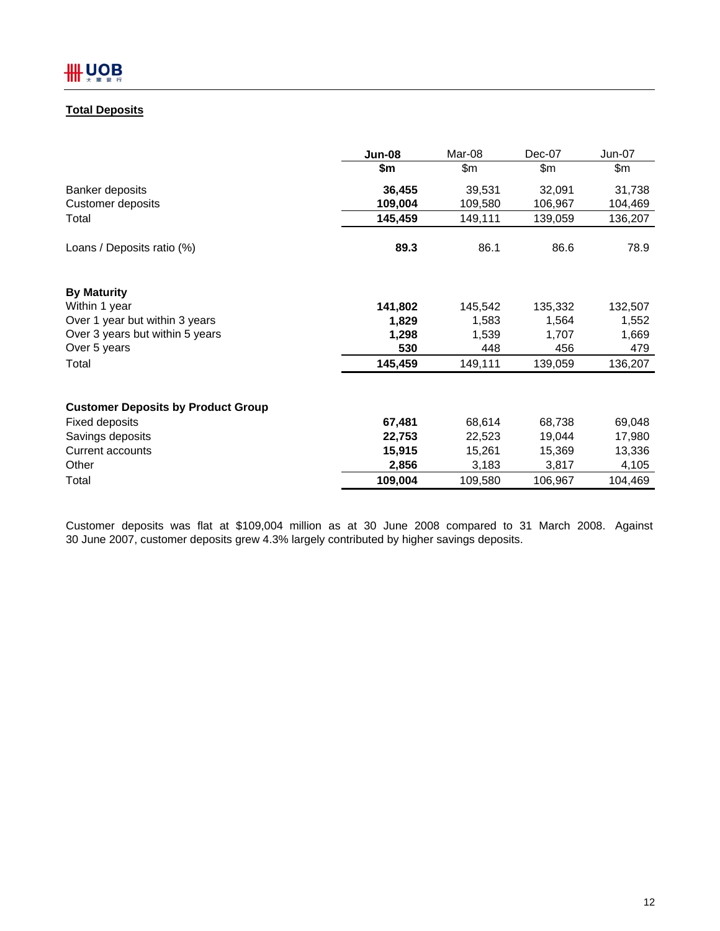# **Total Deposits**

|                                           | Jun-08  | Mar-08  | Dec-07  | Jun-07  |
|-------------------------------------------|---------|---------|---------|---------|
|                                           | \$m     | \$m     | \$m     | \$m     |
| Banker deposits                           | 36,455  | 39,531  | 32,091  | 31,738  |
| Customer deposits                         | 109,004 | 109,580 | 106,967 | 104,469 |
| Total                                     | 145,459 | 149,111 | 139,059 | 136,207 |
| Loans / Deposits ratio (%)                | 89.3    | 86.1    | 86.6    | 78.9    |
| <b>By Maturity</b>                        |         |         |         |         |
| Within 1 year                             | 141,802 | 145,542 | 135,332 | 132,507 |
| Over 1 year but within 3 years            | 1,829   | 1,583   | 1,564   | 1,552   |
| Over 3 years but within 5 years           | 1,298   | 1,539   | 1,707   | 1,669   |
| Over 5 years                              | 530     | 448     | 456     | 479     |
| Total                                     | 145,459 | 149,111 | 139,059 | 136,207 |
| <b>Customer Deposits by Product Group</b> |         |         |         |         |
| Fixed deposits                            | 67,481  | 68,614  | 68,738  | 69,048  |
| Savings deposits                          | 22,753  | 22,523  | 19,044  | 17,980  |
| Current accounts                          | 15,915  | 15,261  | 15,369  | 13,336  |
| Other                                     | 2,856   | 3,183   | 3,817   | 4,105   |
| Total                                     | 109,004 | 109,580 | 106,967 | 104,469 |

Customer deposits was flat at \$109,004 million as at 30 June 2008 compared to 31 March 2008. Against 30 June 2007, customer deposits grew 4.3% largely contributed by higher savings deposits.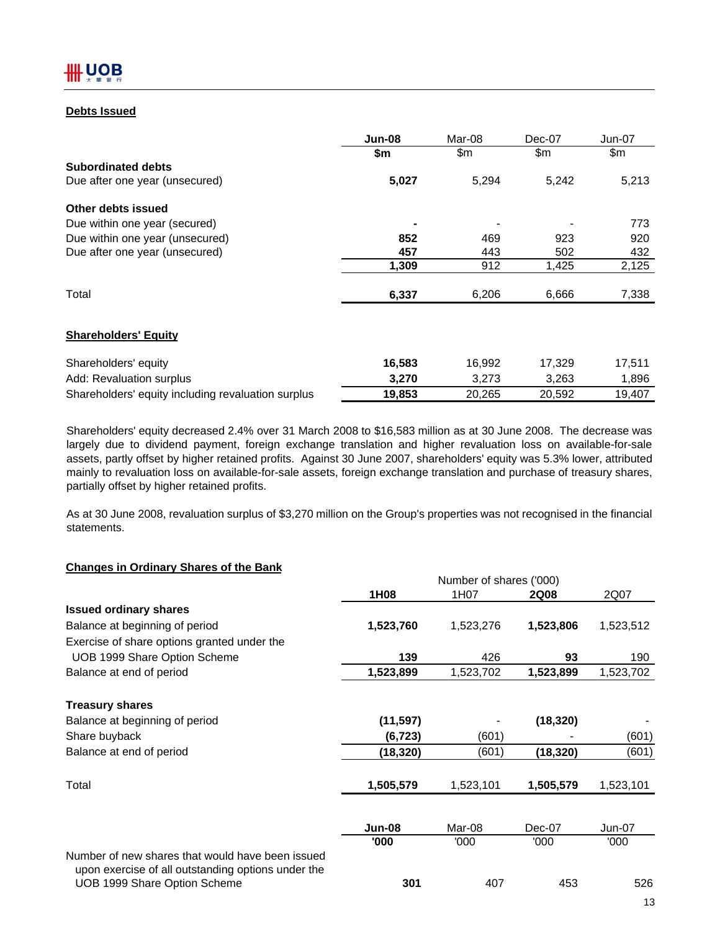## **Debts Issued**

|                                                    | Jun-08 | Mar-08 | Dec-07 | Jun-07 |
|----------------------------------------------------|--------|--------|--------|--------|
|                                                    | \$m    | \$m    | \$m    | \$m    |
| <b>Subordinated debts</b>                          |        |        |        |        |
| Due after one year (unsecured)                     | 5,027  | 5,294  | 5,242  | 5,213  |
| Other debts issued                                 |        |        |        |        |
| Due within one year (secured)                      |        |        |        | 773    |
| Due within one year (unsecured)                    | 852    | 469    | 923    | 920    |
| Due after one year (unsecured)                     | 457    | 443    | 502    | 432    |
|                                                    | 1,309  | 912    | 1,425  | 2,125  |
| Total                                              | 6,337  | 6,206  | 6,666  | 7,338  |
| <b>Shareholders' Equity</b>                        |        |        |        |        |
| Shareholders' equity                               | 16,583 | 16,992 | 17,329 | 17,511 |
| Add: Revaluation surplus                           | 3,270  | 3,273  | 3,263  | 1,896  |
| Shareholders' equity including revaluation surplus | 19,853 | 20,265 | 20,592 | 19,407 |

Shareholders' equity decreased 2.4% over 31 March 2008 to \$16,583 million as at 30 June 2008. The decrease was largely due to dividend payment, foreign exchange translation and higher revaluation loss on available-for-sale assets, partly offset by higher retained profits. Against 30 June 2007, shareholders' equity was 5.3% lower, attributed mainly to revaluation loss on available-for-sale assets, foreign exchange translation and purchase of treasury shares, partially offset by higher retained profits.

As at 30 June 2008, revaluation surplus of \$3,270 million on the Group's properties was not recognised in the financial statements.

## **Changes in Ordinary Shares of the Bank**

|                                                                                                        | Number of shares ('000) |           |             |           |  |  |  |
|--------------------------------------------------------------------------------------------------------|-------------------------|-----------|-------------|-----------|--|--|--|
|                                                                                                        | 1H08                    | 1H07      | <b>2Q08</b> | 2Q07      |  |  |  |
| <b>Issued ordinary shares</b>                                                                          |                         |           |             |           |  |  |  |
| Balance at beginning of period                                                                         | 1,523,760               | 1,523,276 | 1,523,806   | 1,523,512 |  |  |  |
| Exercise of share options granted under the                                                            |                         |           |             |           |  |  |  |
| UOB 1999 Share Option Scheme                                                                           | 139                     | 426       | 93          | 190       |  |  |  |
| Balance at end of period                                                                               | 1,523,899               | 1,523,702 | 1,523,899   | 1,523,702 |  |  |  |
| <b>Treasury shares</b>                                                                                 |                         |           |             |           |  |  |  |
| Balance at beginning of period                                                                         | (11, 597)               |           | (18, 320)   |           |  |  |  |
| Share buyback                                                                                          | (6, 723)                | (601)     |             | (601)     |  |  |  |
| Balance at end of period                                                                               | (18, 320)               | (601)     | (18, 320)   | (601)     |  |  |  |
| Total                                                                                                  | 1,505,579               | 1,523,101 | 1,505,579   | 1,523,101 |  |  |  |
|                                                                                                        |                         |           |             |           |  |  |  |
|                                                                                                        | <b>Jun-08</b>           | Mar-08    | Dec-07      | $Jun-07$  |  |  |  |
|                                                                                                        | '000                    | '000      | '000'       | '000'     |  |  |  |
| Number of new shares that would have been issued<br>upon exercise of all outstanding options under the |                         |           |             |           |  |  |  |
| UOB 1999 Share Option Scheme                                                                           | 301                     | 407       | 453         | 526       |  |  |  |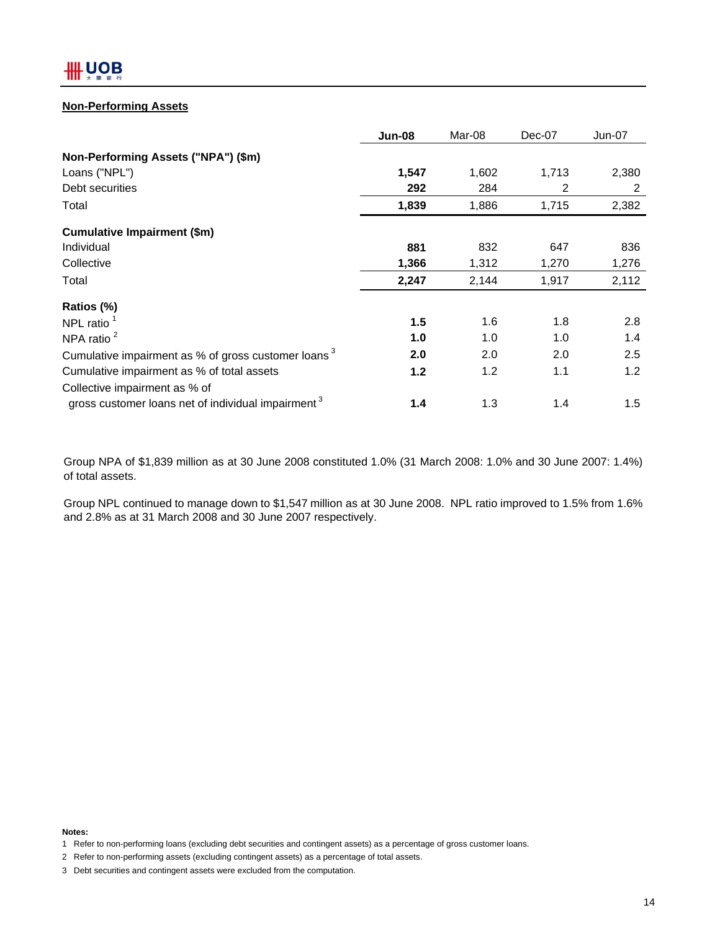### **Non-Performing Assets**

|                                                                 | <b>Jun-08</b> | Mar-08 | Dec-07 | $Jun-07$ |
|-----------------------------------------------------------------|---------------|--------|--------|----------|
| Non-Performing Assets ("NPA") (\$m)                             |               |        |        |          |
| Loans ("NPL")                                                   | 1,547         | 1,602  | 1,713  | 2,380    |
| Debt securities                                                 | 292           | 284    | 2      | 2        |
| Total                                                           | 1,839         | 1,886  | 1,715  | 2,382    |
| <b>Cumulative Impairment (\$m)</b>                              |               |        |        |          |
| Individual                                                      | 881           | 832    | 647    | 836      |
| Collective                                                      | 1,366         | 1,312  | 1,270  | 1,276    |
| Total                                                           | 2,247         | 2,144  | 1,917  | 2,112    |
| Ratios (%)                                                      |               |        |        |          |
| NPL ratio $1$                                                   | 1.5           | 1.6    | 1.8    | 2.8      |
| NPA ratio $2$                                                   | 1.0           | 1.0    | 1.0    | 1.4      |
| Cumulative impairment as % of gross customer loans <sup>3</sup> | 2.0           | 2.0    | 2.0    | 2.5      |
| Cumulative impairment as % of total assets                      | 1.2           | 1.2    | 1.1    | 1.2      |
| Collective impairment as % of                                   |               |        |        |          |
| gross customer loans net of individual impairment <sup>3</sup>  | 1.4           | 1.3    | 1.4    | 1.5      |

Group NPA of \$1,839 million as at 30 June 2008 constituted 1.0% (31 March 2008: 1.0% and 30 June 2007: 1.4%) of total assets.

Group NPL continued to manage down to \$1,547 million as at 30 June 2008. NPL ratio improved to 1.5% from 1.6% and 2.8% as at 31 March 2008 and 30 June 2007 respectively.

**Notes:**

<sup>1</sup> Refer to non-performing loans (excluding debt securities and contingent assets) as a percentage of gross customer loans.

<sup>2</sup> Refer to non-performing assets (excluding contingent assets) as a percentage of total assets.

<sup>3</sup> Debt securities and contingent assets were excluded from the computation.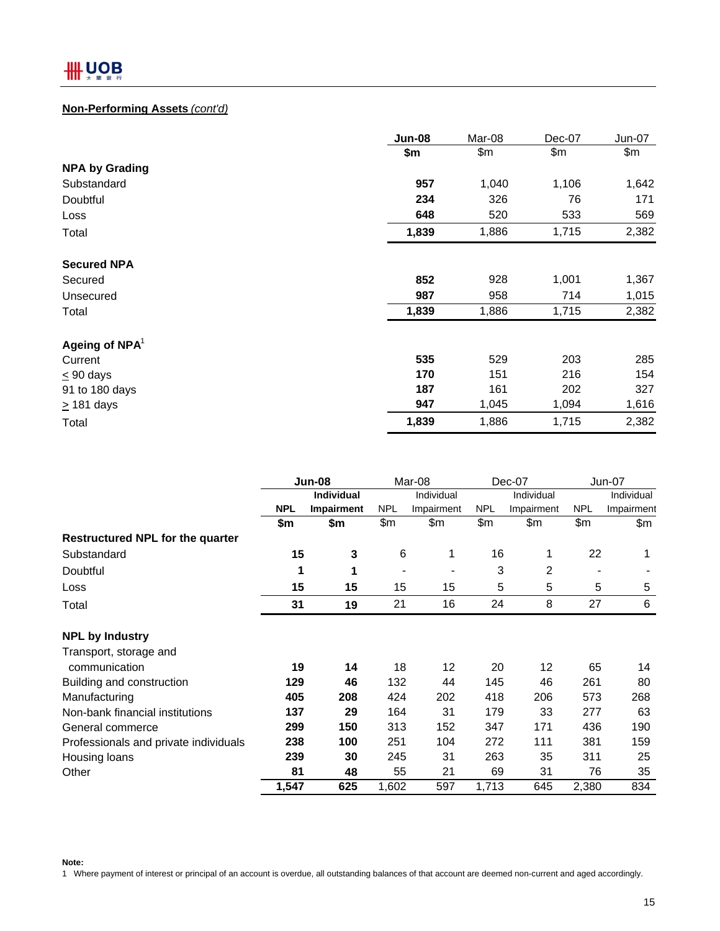## **Non-Performing Assets** *(cont'd)*

|                       | Jun-08 | Mar-08 | Dec-07 | Jun-07 |
|-----------------------|--------|--------|--------|--------|
|                       | \$m    | \$m    | \$m    | \$m\$  |
| <b>NPA by Grading</b> |        |        |        |        |
| Substandard           | 957    | 1,040  | 1,106  | 1,642  |
| Doubtful              | 234    | 326    | 76     | 171    |
| Loss                  | 648    | 520    | 533    | 569    |
| Total                 | 1,839  | 1,886  | 1,715  | 2,382  |
| <b>Secured NPA</b>    |        |        |        |        |
| Secured               | 852    | 928    | 1,001  | 1,367  |
| Unsecured             | 987    | 958    | 714    | 1,015  |
| Total                 | 1,839  | 1,886  | 1,715  | 2,382  |
| Ageing of $NPA1$      |        |        |        |        |
| Current               | 535    | 529    | 203    | 285    |
| $< 90$ days           | 170    | 151    | 216    | 154    |
| 91 to 180 days        | 187    | 161    | 202    | 327    |
| $\geq$ 181 days       | 947    | 1,045  | 1,094  | 1,616  |
| Total                 | 1,839  | 1,886  | 1,715  | 2,382  |

|                                         | Jun-08     |                   | Mar-08     |            | Dec-07     |            | $Jun-07$   |            |
|-----------------------------------------|------------|-------------------|------------|------------|------------|------------|------------|------------|
|                                         |            | <b>Individual</b> |            | Individual |            | Individual |            | Individual |
|                                         | <b>NPL</b> | <b>Impairment</b> | <b>NPL</b> | Impairment | <b>NPL</b> | Impairment | <b>NPL</b> | Impairment |
|                                         | \$m        | \$m               | \$m        | \$m        | \$m        | \$m        | \$m\$      | \$m        |
| <b>Restructured NPL for the quarter</b> |            |                   |            |            |            |            |            |            |
| Substandard                             | 15         | 3                 | 6          | 1          | 16         | 1          | 22         | 1          |
| Doubtful                                | 1          | 1                 |            |            | 3          | 2          |            |            |
| Loss                                    | 15         | 15                | 15         | 15         | 5          | 5          | 5          | 5          |
| Total                                   | 31         | 19                | 21         | 16         | 24         | 8          | 27         | 6          |
| <b>NPL by Industry</b>                  |            |                   |            |            |            |            |            |            |
| Transport, storage and                  |            |                   |            |            |            |            |            |            |
| communication                           | 19         | 14                | 18         | 12         | 20         | 12         | 65         | 14         |
| Building and construction               | 129        | 46                | 132        | 44         | 145        | 46         | 261        | 80         |
| Manufacturing                           | 405        | 208               | 424        | 202        | 418        | 206        | 573        | 268        |
| Non-bank financial institutions         | 137        | 29                | 164        | 31         | 179        | 33         | 277        | 63         |
| General commerce                        | 299        | 150               | 313        | 152        | 347        | 171        | 436        | 190        |
| Professionals and private individuals   | 238        | 100               | 251        | 104        | 272        | 111        | 381        | 159        |
| Housing loans                           | 239        | 30                | 245        | 31         | 263        | 35         | 311        | 25         |
| Other                                   | 81         | 48                | 55         | 21         | 69         | 31         | 76         | 35         |
|                                         | 1,547      | 625               | 1,602      | 597        | 1,713      | 645        | 2,380      | 834        |

**Note:**

1 Where payment of interest or principal of an account is overdue, all outstanding balances of that account are deemed non-current and aged accordingly.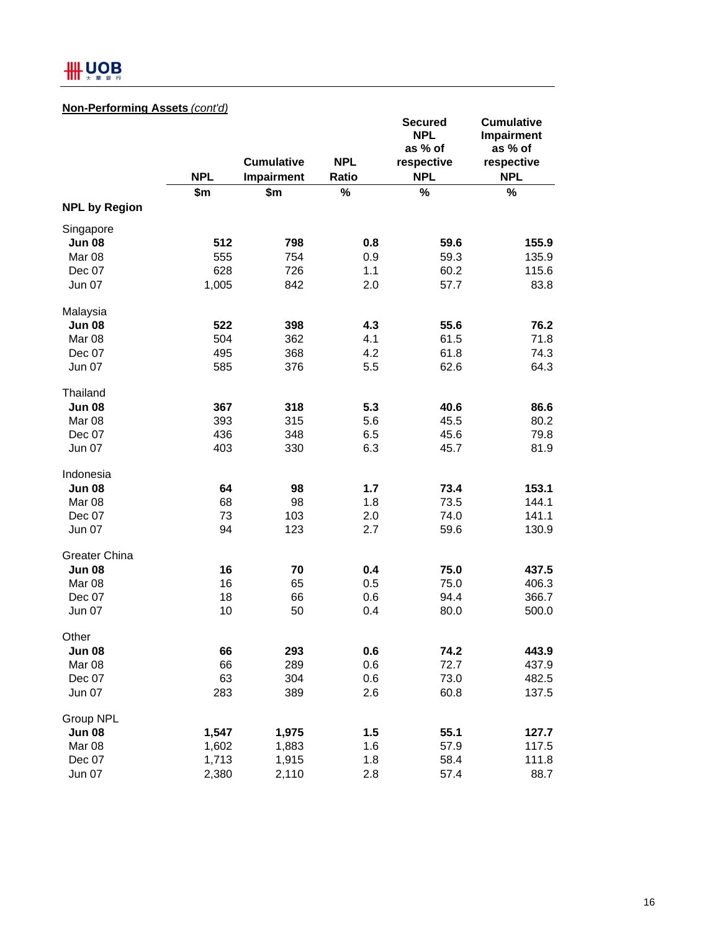# **HH UOB**

# **Non-Performing Assets** *(cont'd)*

|                      |            | <b>Cumulative</b> | <b>NPL</b>   | <b>Secured</b><br><b>NPL</b><br>as % of | <b>Cumulative</b><br>Impairment<br>as % of |
|----------------------|------------|-------------------|--------------|-----------------------------------------|--------------------------------------------|
|                      | <b>NPL</b> | Impairment        | <b>Ratio</b> | respective<br><b>NPL</b>                | respective<br><b>NPL</b>                   |
|                      | \$m        | \$m               | %            | %                                       | $\%$                                       |
| <b>NPL by Region</b> |            |                   |              |                                         |                                            |
| Singapore            |            |                   |              |                                         |                                            |
| <b>Jun 08</b>        | 512        | 798               | 0.8          | 59.6                                    | 155.9                                      |
| Mar 08               | 555        | 754               | 0.9          | 59.3                                    | 135.9                                      |
| Dec 07               | 628        | 726               | 1.1          | 60.2                                    | 115.6                                      |
| <b>Jun 07</b>        | 1,005      | 842               | 2.0          | 57.7                                    | 83.8                                       |
| Malaysia             |            |                   |              |                                         |                                            |
| <b>Jun 08</b>        | 522        | 398               | 4.3          | 55.6                                    | 76.2                                       |
| Mar 08               | 504        | 362               | 4.1          | 61.5                                    | 71.8                                       |
| Dec 07               | 495        | 368               | 4.2          | 61.8                                    | 74.3                                       |
| <b>Jun 07</b>        | 585        | 376               | 5.5          | 62.6                                    | 64.3                                       |
| Thailand             |            |                   |              |                                         |                                            |
| <b>Jun 08</b>        | 367        | 318               | 5.3          | 40.6                                    | 86.6                                       |
| Mar 08               | 393        | 315               | 5.6          | 45.5                                    | 80.2                                       |
| Dec 07               | 436        | 348               | 6.5          | 45.6                                    | 79.8                                       |
| <b>Jun 07</b>        | 403        | 330               | 6.3          | 45.7                                    | 81.9                                       |
| Indonesia            |            |                   |              |                                         |                                            |
| <b>Jun 08</b>        | 64         | 98                | 1.7          | 73.4                                    | 153.1                                      |
| Mar 08               | 68         | 98                | 1.8          | 73.5                                    | 144.1                                      |
| Dec 07               | 73         | 103               | 2.0          | 74.0                                    | 141.1                                      |
| <b>Jun 07</b>        | 94         | 123               | 2.7          | 59.6                                    | 130.9                                      |
| Greater China        |            |                   |              |                                         |                                            |
| <b>Jun 08</b>        | 16         | 70                | 0.4          | 75.0                                    | 437.5                                      |
| Mar 08               | 16         | 65                | 0.5          | 75.0                                    | 406.3                                      |
| Dec 07               | 18         | 66                | 0.6          | 94.4                                    | 366.7                                      |
| <b>Jun 07</b>        | 10         | 50                | 0.4          | 80.0                                    | 500.0                                      |
| Other                |            |                   |              |                                         |                                            |
| <b>Jun 08</b>        | 66         | 293               | 0.6          | 74.2                                    | 443.9                                      |
| Mar 08               | 66         | 289               | 0.6          | 72.7                                    | 437.9                                      |
| Dec 07               | 63         | 304               | 0.6          | 73.0                                    | 482.5                                      |
| <b>Jun 07</b>        | 283        | 389               | 2.6          | 60.8                                    | 137.5                                      |
| Group NPL            |            |                   |              |                                         |                                            |
| <b>Jun 08</b>        | 1,547      | 1,975             | 1.5          | 55.1                                    | 127.7                                      |
| Mar 08               | 1,602      | 1,883             | 1.6          | 57.9                                    | 117.5                                      |
| Dec 07               | 1,713      | 1,915             | 1.8          | 58.4                                    | 111.8                                      |
| Jun 07               | 2,380      | 2,110             | 2.8          | 57.4                                    | 88.7                                       |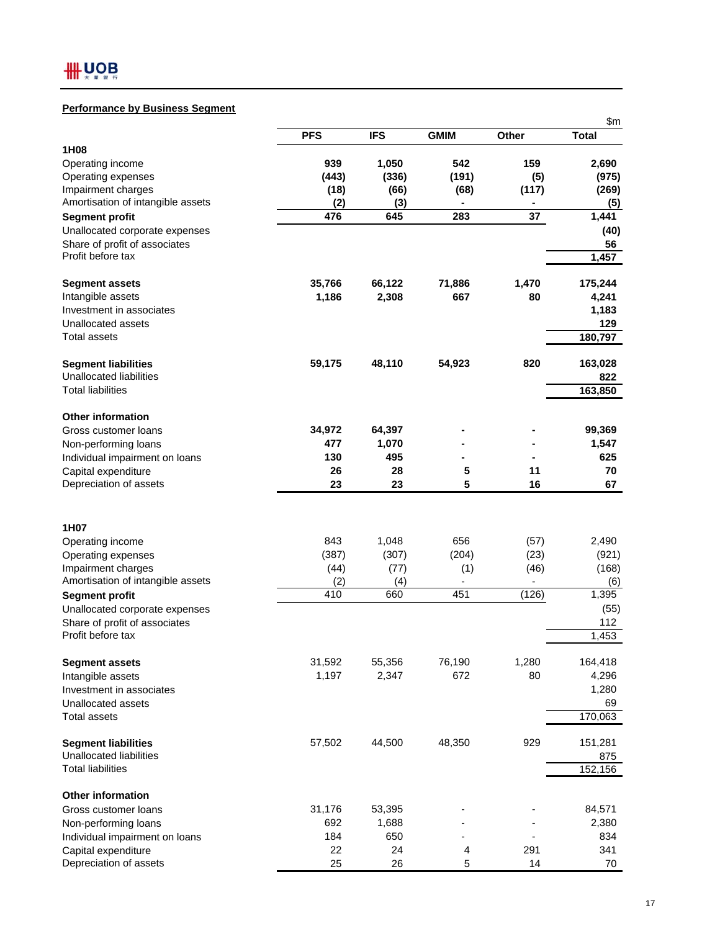# **Performance by Business Segment**

|                                          |               |               |                |              | \$m\$          |
|------------------------------------------|---------------|---------------|----------------|--------------|----------------|
|                                          | <b>PFS</b>    | <b>IFS</b>    | <b>GMIM</b>    | Other        | <b>Total</b>   |
| 1H <sub>08</sub>                         |               |               |                |              |                |
| Operating income                         | 939           | 1,050         | 542            | 159          | 2,690          |
| Operating expenses                       | (443)         | (336)         | (191)          | (5)          | (975)          |
| Impairment charges                       | (18)          | (66)          | (68)           | (117)        | (269)          |
| Amortisation of intangible assets        | (2)           | (3)           | $\blacksquare$ | ۰            | (5)            |
| <b>Segment profit</b>                    | 476           | 645           | 283            | 37           | 1,441          |
| Unallocated corporate expenses           |               |               |                |              | (40)           |
| Share of profit of associates            |               |               |                |              | 56             |
| Profit before tax                        |               |               |                |              | 1,457          |
| <b>Segment assets</b>                    | 35,766        | 66,122        | 71,886         | 1,470        | 175,244        |
| Intangible assets                        | 1,186         | 2,308         | 667            | 80           | 4,241          |
| Investment in associates                 |               |               |                |              | 1,183          |
| Unallocated assets                       |               |               |                |              | 129            |
| Total assets                             |               |               |                |              | 180,797        |
| <b>Segment liabilities</b>               | 59,175        | 48,110        | 54,923         | 820          | 163,028        |
| <b>Unallocated liabilities</b>           |               |               |                |              | 822            |
| <b>Total liabilities</b>                 |               |               |                |              | 163,850        |
| <b>Other information</b>                 |               |               |                |              |                |
| Gross customer loans                     | 34,972        | 64,397        |                |              | 99,369         |
| Non-performing loans                     | 477           | 1,070         |                |              | 1,547          |
| Individual impairment on loans           | 130           | 495           |                |              | 625            |
| Capital expenditure                      | 26            | 28            | 5              | 11           | 70             |
| Depreciation of assets                   | 23            | 23            | 5              | 16           | 67             |
|                                          |               |               |                |              |                |
| 1H07                                     | 843           |               |                |              |                |
| Operating income                         |               | 1,048         | 656<br>(204)   | (57)         | 2,490          |
| Operating expenses<br>Impairment charges | (387)<br>(44) | (307)<br>(77) |                | (23)<br>(46) | (921)<br>(168) |
| Amortisation of intangible assets        | (2)           | (4)           | (1)            |              | (6)            |
| <b>Segment profit</b>                    | 410           | 660           | 451            | (126)        | 1,395          |
| Unallocated corporate expenses           |               |               |                |              | (55)           |
| Share of profit of associates            |               |               |                |              | 112            |
| Profit before tax                        |               |               |                |              | 1,453          |
|                                          |               |               |                |              |                |
| <b>Segment assets</b>                    | 31,592        | 55,356        | 76,190         | 1,280        | 164,418        |
| Intangible assets                        | 1,197         | 2,347         | 672            | 80           | 4,296          |
| Investment in associates                 |               |               |                |              | 1,280          |
| Unallocated assets                       |               |               |                |              | 69             |
| <b>Total assets</b>                      |               |               |                |              | 170,063        |
| <b>Segment liabilities</b>               | 57,502        | 44,500        | 48,350         | 929          | 151,281        |
| <b>Unallocated liabilities</b>           |               |               |                |              | 875            |
| <b>Total liabilities</b>                 |               |               |                |              | 152,156        |
| <b>Other information</b>                 |               |               |                |              |                |
| Gross customer loans                     | 31,176        | 53,395        |                |              | 84,571         |
| Non-performing loans                     | 692           | 1,688         |                |              | 2,380          |
| Individual impairment on loans           | 184           | 650           |                |              | 834            |
| Capital expenditure                      | 22            | 24            | 4              | 291          | 341            |
| Depreciation of assets                   | 25            | 26            | 5              | 14           | 70             |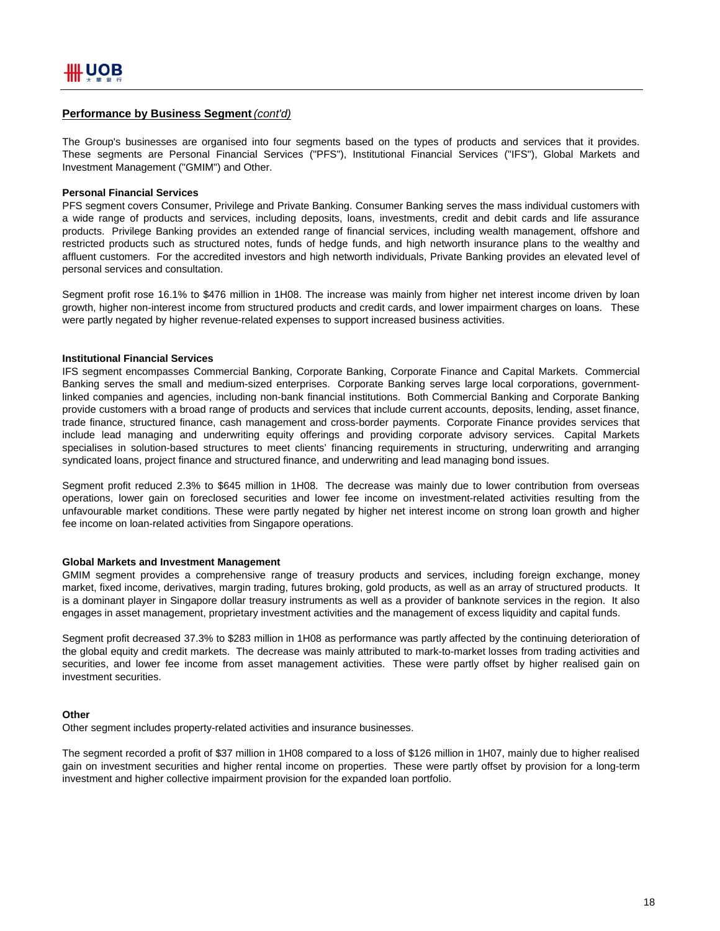#### **Performance by Business Segment** *(cont'd)*

The Group's businesses are organised into four segments based on the types of products and services that it provides. These segments are Personal Financial Services ("PFS"), Institutional Financial Services ("IFS"), Global Markets and Investment Management ("GMIM") and Other.

#### **Personal Financial Services**

PFS segment covers Consumer, Privilege and Private Banking. Consumer Banking serves the mass individual customers with a wide range of products and services, including deposits, loans, investments, credit and debit cards and life assurance products. Privilege Banking provides an extended range of financial services, including wealth management, offshore and restricted products such as structured notes, funds of hedge funds, and high networth insurance plans to the wealthy and affluent customers. For the accredited investors and high networth individuals, Private Banking provides an elevated level of personal services and consultation.

Segment profit rose 16.1% to \$476 million in 1H08. The increase was mainly from higher net interest income driven by loan growth, higher non-interest income from structured products and credit cards, and lower impairment charges on loans. These were partly negated by higher revenue-related expenses to support increased business activities.

#### **Institutional Financial Services**

IFS segment encompasses Commercial Banking, Corporate Banking, Corporate Finance and Capital Markets. Commercial Banking serves the small and medium-sized enterprises. Corporate Banking serves large local corporations, governmentlinked companies and agencies, including non-bank financial institutions. Both Commercial Banking and Corporate Banking provide customers with a broad range of products and services that include current accounts, deposits, lending, asset finance, trade finance, structured finance, cash management and cross-border payments. Corporate Finance provides services that include lead managing and underwriting equity offerings and providing corporate advisory services. Capital Markets specialises in solution-based structures to meet clients' financing requirements in structuring, underwriting and arranging syndicated loans, project finance and structured finance, and underwriting and lead managing bond issues.

Segment profit reduced 2.3% to \$645 million in 1H08. The decrease was mainly due to lower contribution from overseas operations, lower gain on foreclosed securities and lower fee income on investment-related activities resulting from the unfavourable market conditions. These were partly negated by higher net interest income on strong loan growth and higher fee income on loan-related activities from Singapore operations.

#### **Global Markets and Investment Management**

GMIM segment provides a comprehensive range of treasury products and services, including foreign exchange, money market, fixed income, derivatives, margin trading, futures broking, gold products, as well as an array of structured products. It is a dominant player in Singapore dollar treasury instruments as well as a provider of banknote services in the region. It also engages in asset management, proprietary investment activities and the management of excess liquidity and capital funds.

Segment profit decreased 37.3% to \$283 million in 1H08 as performance was partly affected by the continuing deterioration of the global equity and credit markets. The decrease was mainly attributed to mark-to-market losses from trading activities and securities, and lower fee income from asset management activities. These were partly offset by higher realised gain on investment securities.

#### **Other**

Other segment includes property-related activities and insurance businesses.

The segment recorded a profit of \$37 million in 1H08 compared to a loss of \$126 million in 1H07, mainly due to higher realised gain on investment securities and higher rental income on properties. These were partly offset by provision for a long-term investment and higher collective impairment provision for the expanded loan portfolio.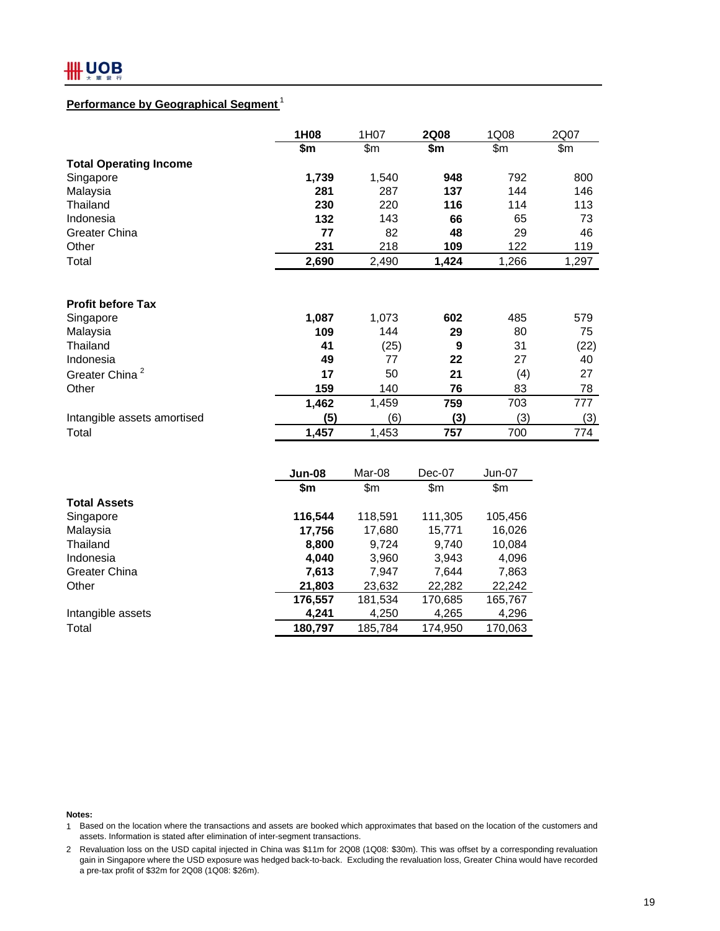## **Performance by Geographical Segment** <sup>1</sup>

|                               | 1H <sub>08</sub> | 1H07  | <b>2Q08</b> | 1Q08  | 2Q07  |
|-------------------------------|------------------|-------|-------------|-------|-------|
|                               | \$m              | \$m\$ | \$m         | \$m\$ | \$m\$ |
| <b>Total Operating Income</b> |                  |       |             |       |       |
| Singapore                     | 1,739            | 1,540 | 948         | 792   | 800   |
| Malaysia                      | 281              | 287   | 137         | 144   | 146   |
| Thailand                      | 230              | 220   | 116         | 114   | 113   |
| Indonesia                     | 132              | 143   | 66          | 65    | 73    |
| Greater China                 | 77               | 82    | 48          | 29    | 46    |
| Other                         | 231              | 218   | 109         | 122   | 119   |
| Total                         | 2,690            | 2,490 | 1,424       | 1,266 | 1,297 |
|                               |                  |       |             |       |       |
| <b>Profit before Tax</b>      |                  |       |             |       |       |
| Singapore                     | 1,087            | 1,073 | 602         | 485   | 579   |
| Malaysia                      | 109              | 144   | 29          | 80    | 75    |
| Thailand                      | 41               | (25)  | 9           | 31    | (22)  |
| Indonesia                     | 49               | 77    | 22          | 27    | 40    |
| Greater China <sup>2</sup>    | 17               | 50    | 21          | (4)   | 27    |
| Other                         | 159              | 140   | 76          | 83    | 78    |
|                               | 1,462            | 1,459 | 759         | 703   | 777   |
| Intangible assets amortised   | (5)              | (6)   | (3)         | (3)   | (3)   |
| Total                         | 1,457            | 1,453 | 757         | 700   | 774   |

|                     | Jun-08  | Mar-08  | $Dec-07$ | Jun-07  |
|---------------------|---------|---------|----------|---------|
|                     | \$m     | \$m     | \$m      | \$m     |
| <b>Total Assets</b> |         |         |          |         |
| Singapore           | 116,544 | 118,591 | 111,305  | 105,456 |
| Malaysia            | 17,756  | 17,680  | 15,771   | 16,026  |
| Thailand            | 8,800   | 9.724   | 9.740    | 10,084  |
| Indonesia           | 4,040   | 3,960   | 3,943    | 4,096   |
| Greater China       | 7,613   | 7,947   | 7,644    | 7,863   |
| Other               | 21,803  | 23,632  | 22,282   | 22,242  |
|                     | 176,557 | 181,534 | 170,685  | 165,767 |
| Intangible assets   | 4.241   | 4,250   | 4,265    | 4,296   |
| Total               | 180,797 | 185,784 | 174,950  | 170,063 |

#### **Notes:**

1 Based on the location where the transactions and assets are booked which approximates that based on the location of the customers and assets. Information is stated after elimination of inter-segment transactions.

2 Revaluation loss on the USD capital injected in China was \$11m for 2Q08 (1Q08: \$30m). This was offset by a corresponding revaluation gain in Singapore where the USD exposure was hedged back-to-back. Excluding the revaluation loss, Greater China would have recorded a pre-tax profit of \$32m for 2Q08 (1Q08: \$26m).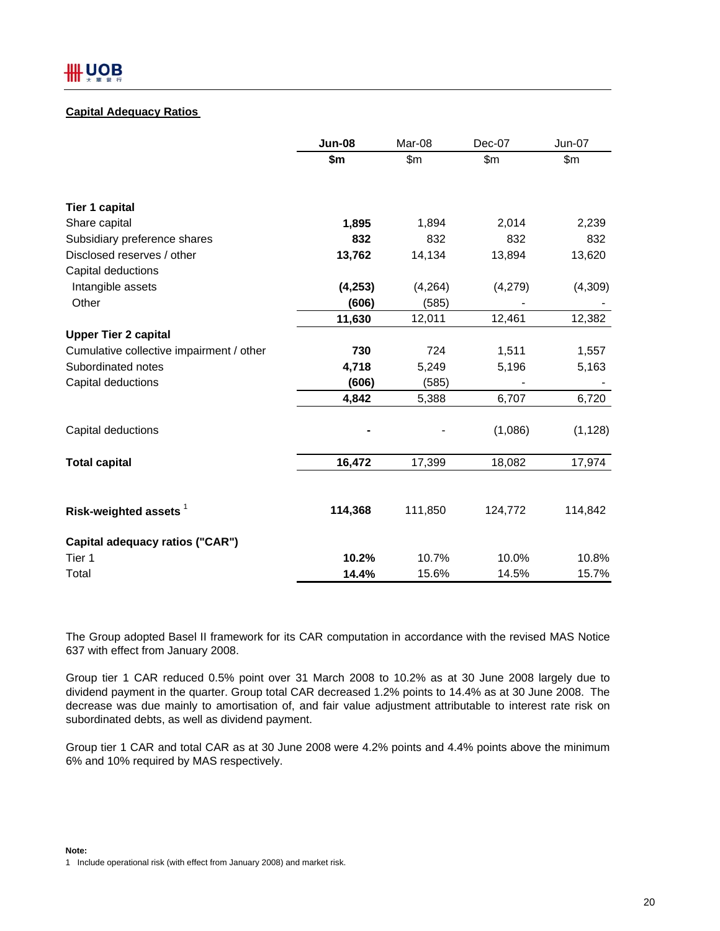## **Capital Adequacy Ratios**

|                                          | <b>Jun-08</b> | Mar-08  | Dec-07  | <b>Jun-07</b> |
|------------------------------------------|---------------|---------|---------|---------------|
|                                          | \$m           | \$m\$   | \$m\$   | \$m\$         |
| <b>Tier 1 capital</b>                    |               |         |         |               |
| Share capital                            | 1,895         | 1,894   | 2,014   | 2,239         |
| Subsidiary preference shares             | 832           | 832     | 832     | 832           |
| Disclosed reserves / other               | 13,762        | 14,134  | 13,894  | 13,620        |
| Capital deductions                       |               |         |         |               |
| Intangible assets                        | (4, 253)      | (4,264) | (4,279) | (4,309)       |
| Other                                    | (606)         | (585)   |         |               |
|                                          | 11,630        | 12,011  | 12,461  | 12,382        |
| <b>Upper Tier 2 capital</b>              |               |         |         |               |
| Cumulative collective impairment / other | 730           | 724     | 1,511   | 1,557         |
| Subordinated notes                       | 4,718         | 5,249   | 5,196   | 5,163         |
| Capital deductions                       | (606)         | (585)   |         |               |
|                                          | 4,842         | 5,388   | 6,707   | 6,720         |
| Capital deductions                       |               |         | (1,086) | (1, 128)      |
| <b>Total capital</b>                     | 16,472        | 17,399  | 18,082  | 17,974        |
| Risk-weighted assets $1$                 | 114,368       | 111,850 | 124,772 | 114,842       |
| Capital adequacy ratios ("CAR")          |               |         |         |               |
| Tier 1                                   | 10.2%         | 10.7%   | 10.0%   | 10.8%         |
| Total                                    | 14.4%         | 15.6%   | 14.5%   | 15.7%         |

The Group adopted Basel II framework for its CAR computation in accordance with the revised MAS Notice 637 with effect from January 2008.

Group tier 1 CAR reduced 0.5% point over 31 March 2008 to 10.2% as at 30 June 2008 largely due to dividend payment in the quarter. Group total CAR decreased 1.2% points to 14.4% as at 30 June 2008. The decrease was due mainly to amortisation of, and fair value adjustment attributable to interest rate risk on subordinated debts, as well as dividend payment.

Group tier 1 CAR and total CAR as at 30 June 2008 were 4.2% points and 4.4% points above the minimum 6% and 10% required by MAS respectively.

**Note:** 1 Include operational risk (with effect from January 2008) and market risk.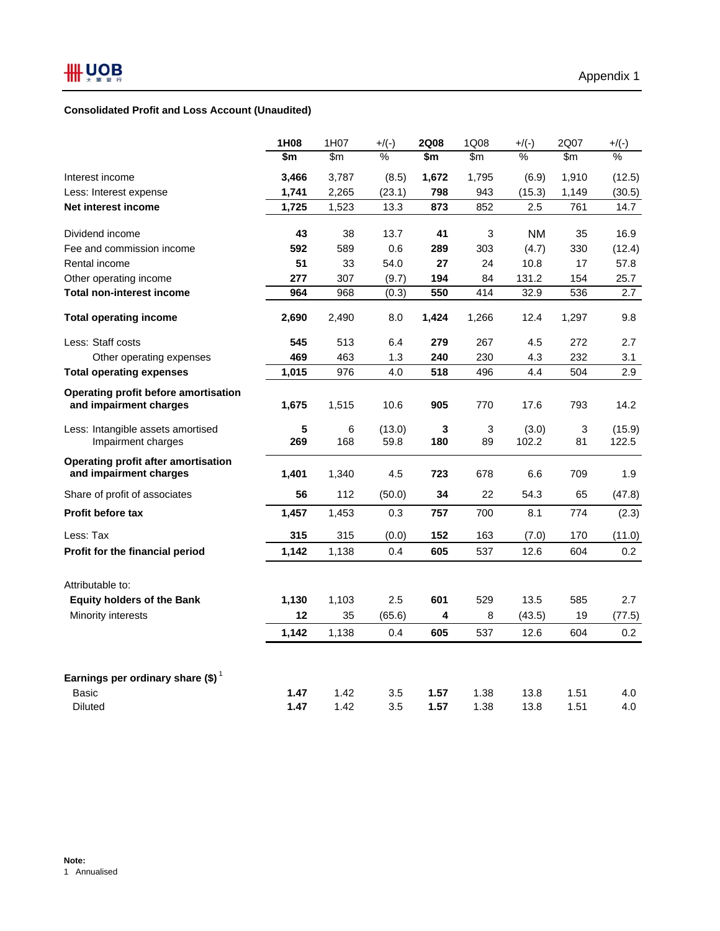## **Consolidated Profit and Loss Account (Unaudited)**

|                                                               | 1H08  | 1H07          | $+$ /(-)      | <b>2Q08</b> | 1Q08  | $+$ /(-)      | 2Q07          | $+$ /(-) |
|---------------------------------------------------------------|-------|---------------|---------------|-------------|-------|---------------|---------------|----------|
|                                                               | \$m   | $\mathsf{Sm}$ | $\frac{0}{0}$ | \$m         | \$m   | $\frac{0}{0}$ | $\mathsf{Sm}$ | %        |
| Interest income                                               | 3,466 | 3,787         | (8.5)         | 1,672       | 1,795 | (6.9)         | 1,910         | (12.5)   |
| Less: Interest expense                                        | 1,741 | 2,265         | (23.1)        | 798         | 943   | (15.3)        | 1,149         | (30.5)   |
| Net interest income                                           | 1,725 | 1,523         | 13.3          | 873         | 852   | 2.5           | 761           | 14.7     |
| Dividend income                                               | 43    | 38            | 13.7          | 41          | 3     | NM.           | 35            | 16.9     |
| Fee and commission income                                     | 592   | 589           | 0.6           | 289         | 303   | (4.7)         | 330           | (12.4)   |
| Rental income                                                 | 51    | 33            | 54.0          | 27          | 24    | 10.8          | 17            | 57.8     |
| Other operating income                                        | 277   | 307           | (9.7)         | 194         | 84    | 131.2         | 154           | 25.7     |
| <b>Total non-interest income</b>                              | 964   | 968           | (0.3)         | 550         | 414   | 32.9          | 536           | 2.7      |
| <b>Total operating income</b>                                 | 2,690 | 2,490         | 8.0           | 1,424       | 1,266 | 12.4          | 1,297         | 9.8      |
| Less: Staff costs                                             | 545   | 513           | 6.4           | 279         | 267   | 4.5           | 272           | 2.7      |
| Other operating expenses                                      | 469   | 463           | 1.3           | 240         | 230   | 4.3           | 232           | 3.1      |
| <b>Total operating expenses</b>                               | 1,015 | 976           | 4.0           | 518         | 496   | 4.4           | 504           | 2.9      |
| Operating profit before amortisation                          |       |               |               |             |       |               |               |          |
| and impairment charges                                        | 1,675 | 1,515         | 10.6          | 905         | 770   | 17.6          | 793           | 14.2     |
| Less: Intangible assets amortised                             | 5     | 6             | (13.0)        | 3           | 3     | (3.0)         | 3             | (15.9)   |
| Impairment charges                                            | 269   | 168           | 59.8          | 180         | 89    | 102.2         | 81            | 122.5    |
| Operating profit after amortisation<br>and impairment charges | 1,401 | 1,340         | 4.5           | 723         | 678   | 6.6           | 709           | 1.9      |
| Share of profit of associates                                 | 56    | 112           | (50.0)        | 34          | 22    | 54.3          | 65            | (47.8)   |
| <b>Profit before tax</b>                                      | 1,457 | 1,453         | 0.3           | 757         | 700   | 8.1           | 774           | (2.3)    |
| Less: Tax                                                     | 315   | 315           | (0.0)         | 152         | 163   | (7.0)         | 170           | (11.0)   |
| Profit for the financial period                               | 1,142 | 1,138         | 0.4           | 605         | 537   | 12.6          | 604           | 0.2      |
| Attributable to:                                              |       |               |               |             |       |               |               |          |
| <b>Equity holders of the Bank</b>                             | 1,130 | 1,103         | 2.5           | 601         | 529   | 13.5          | 585           | 2.7      |
| Minority interests                                            | 12    | 35            | (65.6)        | 4           | 8     | (43.5)        | 19            | (77.5)   |
|                                                               | 1,142 | 1,138         | 0.4           | 605         | 537   | 12.6          | 604           | 0.2      |
|                                                               |       |               |               |             |       |               |               |          |
| Earnings per ordinary share (\$) <sup>1</sup>                 |       |               |               |             |       |               |               |          |
| Basic                                                         | 1.47  | 1.42          | 3.5           | 1.57        | 1.38  | 13.8          | 1.51          | 4.0      |
| Diluted                                                       | 1.47  | 1.42          | 3.5           | 1.57        | 1.38  | 13.8          | 1.51          | 4.0      |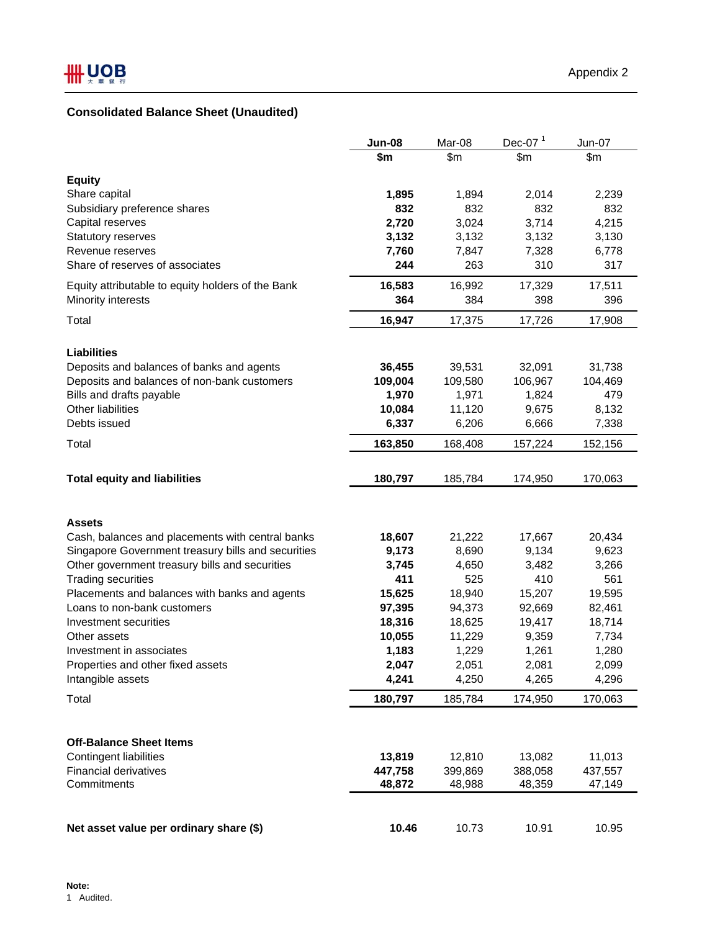# **Consolidated Balance Sheet (Unaudited)**

|                                                    | <b>Jun-08</b> | Mar-08       | Dec-07 $1$   | Jun-07       |
|----------------------------------------------------|---------------|--------------|--------------|--------------|
|                                                    | \$m           | \$m          | \$m          | \$m          |
|                                                    |               |              |              |              |
| <b>Equity</b>                                      |               |              |              |              |
| Share capital<br>Subsidiary preference shares      | 1,895<br>832  | 1,894<br>832 | 2,014<br>832 | 2,239<br>832 |
| Capital reserves                                   | 2,720         | 3,024        | 3,714        | 4,215        |
| Statutory reserves                                 | 3,132         | 3,132        | 3,132        | 3,130        |
| Revenue reserves                                   | 7,760         | 7,847        | 7,328        | 6,778        |
| Share of reserves of associates                    | 244           | 263          | 310          | 317          |
|                                                    |               |              |              |              |
| Equity attributable to equity holders of the Bank  | 16,583        | 16,992       | 17,329       | 17,511       |
| Minority interests                                 | 364           | 384          | 398          | 396          |
| Total                                              | 16,947        | 17,375       | 17,726       | 17,908       |
|                                                    |               |              |              |              |
| <b>Liabilities</b>                                 |               |              |              |              |
| Deposits and balances of banks and agents          | 36,455        | 39,531       | 32,091       | 31,738       |
| Deposits and balances of non-bank customers        | 109,004       | 109,580      | 106,967      | 104,469      |
| Bills and drafts payable                           | 1,970         | 1,971        | 1,824        | 479          |
| Other liabilities                                  | 10,084        | 11,120       | 9,675        | 8,132        |
| Debts issued                                       | 6,337         | 6,206        | 6,666        | 7,338        |
| Total                                              | 163,850       | 168,408      | 157,224      | 152,156      |
|                                                    |               |              |              |              |
| <b>Total equity and liabilities</b>                | 180,797       | 185,784      | 174,950      | 170,063      |
|                                                    |               |              |              |              |
|                                                    |               |              |              |              |
| <b>Assets</b>                                      |               |              |              |              |
| Cash, balances and placements with central banks   | 18,607        | 21,222       | 17,667       | 20,434       |
| Singapore Government treasury bills and securities | 9,173         | 8,690        | 9,134        | 9,623        |
| Other government treasury bills and securities     | 3,745         | 4,650        | 3,482        | 3,266        |
| <b>Trading securities</b>                          | 411           | 525          | 410          | 561          |
| Placements and balances with banks and agents      | 15,625        | 18,940       | 15,207       | 19,595       |
| Loans to non-bank customers                        | 97,395        | 94,373       | 92,669       | 82,461       |
| Investment securities                              | 18,316        | 18,625       | 19,417       | 18,714       |
| Other assets                                       | 10,055        | 11,229       | 9,359        | 7,734        |
| Investment in associates                           | 1,183         | 1,229        | 1,261        | 1,280        |
| Properties and other fixed assets                  | 2,047         | 2,051        | 2,081        | 2,099        |
| Intangible assets                                  | 4,241         | 4,250        | 4,265        | 4,296        |
| Total                                              | 180,797       | 185,784      | 174,950      | 170,063      |
|                                                    |               |              |              |              |
|                                                    |               |              |              |              |
| <b>Off-Balance Sheet Items</b>                     |               |              |              |              |
| <b>Contingent liabilities</b>                      | 13,819        | 12,810       | 13,082       | 11,013       |
| <b>Financial derivatives</b>                       | 447,758       | 399,869      | 388,058      | 437,557      |
| Commitments                                        | 48,872        | 48,988       | 48,359       | 47,149       |
|                                                    |               |              |              |              |
|                                                    |               |              |              |              |
| Net asset value per ordinary share (\$)            | 10.46         | 10.73        | 10.91        | 10.95        |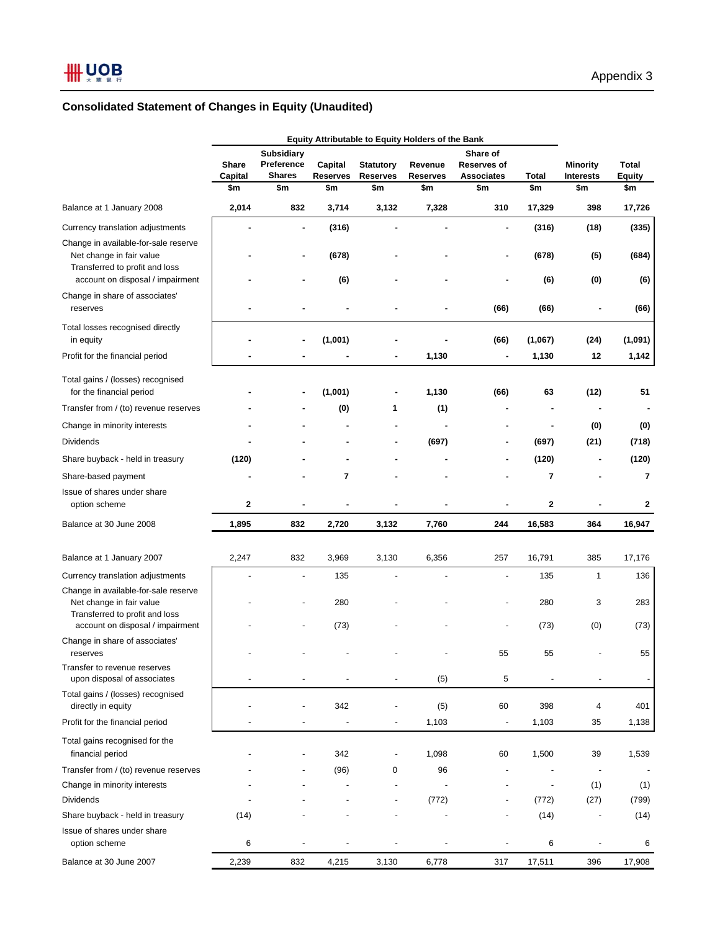# **Consolidated Statement of Changes in Equity (Unaudited)**

|                                                                                                    | Equity Attributable to Equity Holders of the Bank |                                 |                 |                  |                 |                                |              |                          |               |
|----------------------------------------------------------------------------------------------------|---------------------------------------------------|---------------------------------|-----------------|------------------|-----------------|--------------------------------|--------------|--------------------------|---------------|
|                                                                                                    | <b>Share</b>                                      | <b>Subsidiary</b><br>Preference | Capital         | <b>Statutory</b> | Revenue         | Share of<br><b>Reserves of</b> |              | <b>Minority</b>          | Total         |
|                                                                                                    | Capital                                           | <b>Shares</b>                   | <b>Reserves</b> | <b>Reserves</b>  | <b>Reserves</b> | <b>Associates</b>              | <b>Total</b> | <b>Interests</b>         | <b>Equity</b> |
|                                                                                                    | \$m                                               | \$m                             | \$m             | \$m              | \$m             | \$m                            | \$m          | \$m                      | \$m           |
| Balance at 1 January 2008                                                                          | 2,014                                             | 832                             | 3,714           | 3,132            | 7,328           | 310                            | 17,329       | 398                      | 17,726        |
| Currency translation adjustments                                                                   |                                                   | ۰                               | (316)           |                  |                 | $\overline{\phantom{a}}$       | (316)        | (18)                     | (335)         |
| Change in available-for-sale reserve<br>Net change in fair value<br>Transferred to profit and loss |                                                   |                                 | (678)           |                  |                 |                                | (678)        | (5)                      | (684)         |
| account on disposal / impairment                                                                   |                                                   |                                 | (6)             |                  |                 |                                | (6)          | (0)                      | (6)           |
| Change in share of associates'<br>reserves                                                         |                                                   |                                 |                 |                  |                 | (66)                           | (66)         |                          | (66)          |
| Total losses recognised directly<br>in equity                                                      |                                                   | ٠                               | (1,001)         |                  |                 | (66)                           | (1,067)      | (24)                     | (1,091)       |
| Profit for the financial period                                                                    |                                                   |                                 |                 |                  | 1,130           |                                | 1,130        | 12                       | 1,142         |
| Total gains / (losses) recognised<br>for the financial period                                      |                                                   |                                 | (1,001)         |                  | 1,130           | (66)                           | 63           | (12)                     | 51            |
| Transfer from / (to) revenue reserves                                                              |                                                   |                                 | (0)             | 1                | (1)             |                                |              |                          |               |
| Change in minority interests                                                                       |                                                   |                                 |                 |                  |                 |                                |              | (0)                      | (0)           |
| <b>Dividends</b>                                                                                   |                                                   |                                 |                 |                  | (697)           | $\blacksquare$                 | (697)        | (21)                     | (718)         |
| Share buyback - held in treasury                                                                   | (120)                                             |                                 |                 |                  |                 |                                | (120)        | $\blacksquare$           | (120)         |
| Share-based payment                                                                                |                                                   |                                 | $\overline{7}$  |                  |                 |                                | 7            |                          | 7             |
| Issue of shares under share                                                                        |                                                   |                                 |                 |                  |                 |                                |              |                          |               |
| option scheme                                                                                      | 2                                                 |                                 |                 |                  |                 |                                | 2            |                          | 2             |
| Balance at 30 June 2008                                                                            | 1,895                                             | 832                             | 2,720           | 3,132            | 7,760           | 244                            | 16,583       | 364                      | 16,947        |
| Balance at 1 January 2007                                                                          | 2,247                                             | 832                             | 3,969           | 3,130            | 6,356           | 257                            | 16,791       | 385                      | 17,176        |
| Currency translation adjustments                                                                   |                                                   | ÷                               | 135             | ÷,               | ÷,              | $\blacksquare$                 | 135          | $\mathbf{1}$             | 136           |
| Change in available-for-sale reserve<br>Net change in fair value<br>Transferred to profit and loss |                                                   |                                 | 280             |                  |                 |                                | 280          | 3                        | 283           |
| account on disposal / impairment                                                                   |                                                   |                                 | (73)            |                  |                 |                                | (73)         | (0)                      | (73)          |
| Change in share of associates'<br>reserves                                                         |                                                   |                                 |                 |                  |                 | 55                             | 55           |                          | 55            |
| Transfer to revenue reserves<br>upon disposal of associates                                        |                                                   |                                 |                 |                  | (5)             | 5                              |              |                          |               |
| Total gains / (losses) recognised<br>directly in equity                                            |                                                   |                                 | 342             |                  | (5)             | 60                             | 398          | 4                        | 401           |
| Profit for the financial period                                                                    |                                                   |                                 |                 | $\overline{a}$   | 1,103           | $\overline{\phantom{a}}$       | 1,103        | 35                       | 1,138         |
| Total gains recognised for the<br>financial period                                                 |                                                   | $\overline{a}$                  | 342             |                  | 1,098           | 60                             | 1,500        | 39                       | 1,539         |
| Transfer from / (to) revenue reserves                                                              |                                                   |                                 | (96)            | 0                | 96              |                                |              | $\overline{\phantom{a}}$ |               |
| Change in minority interests                                                                       |                                                   |                                 |                 |                  |                 |                                |              | (1)                      | (1)           |
| <b>Dividends</b>                                                                                   |                                                   |                                 |                 |                  | (772)           |                                | (772)        | (27)                     | (799)         |
| Share buyback - held in treasury                                                                   | (14)                                              |                                 |                 |                  |                 |                                | (14)         | $\overline{\phantom{a}}$ | (14)          |
| Issue of shares under share<br>option scheme                                                       | 6                                                 |                                 |                 |                  |                 |                                | 6            | $\overline{\phantom{a}}$ | 6             |
| Balance at 30 June 2007                                                                            | 2,239                                             | 832                             | 4,215           | 3,130            | 6,778           | 317                            | 17,511       | 396                      | 17,908        |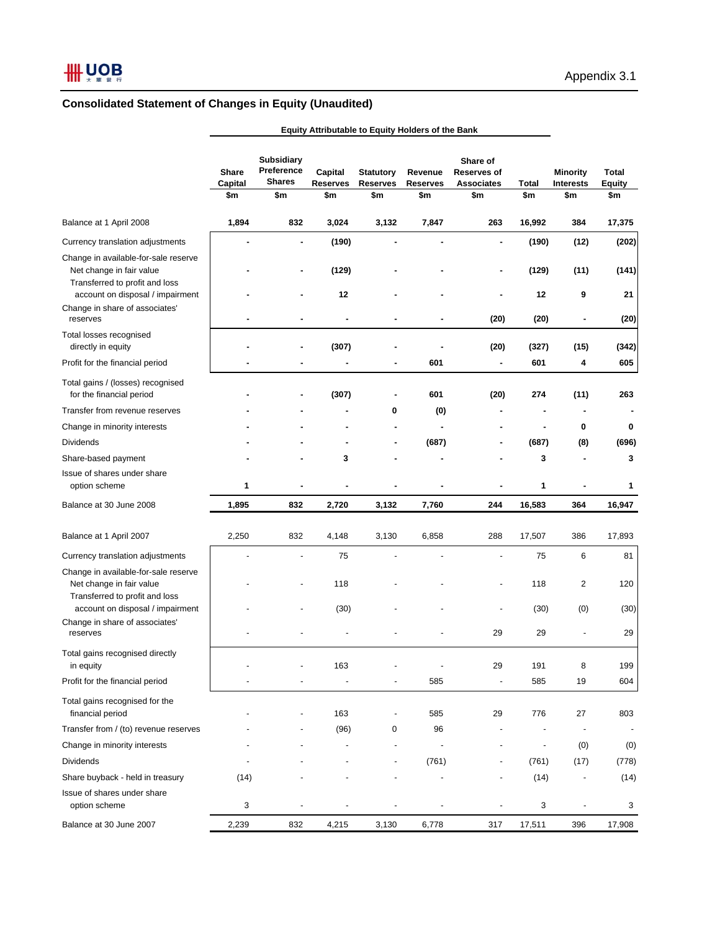# **Consolidated Statement of Changes in Equity (Unaudited)**

|                                                                                                    | <b>Share</b><br>Capital<br>\$m | <b>Subsidiary</b><br>Preference<br><b>Shares</b><br>\$m | Capital<br><b>Reserves</b><br>\$m | <b>Statutory</b><br><b>Reserves</b><br>\$m | Revenue<br><b>Reserves</b><br>\$m | Share of<br><b>Reserves of</b><br><b>Associates</b><br>\$m | Total<br>\$m   | <b>Minority</b><br><b>Interests</b><br>\$m | Total<br><b>Equity</b><br>\$m |
|----------------------------------------------------------------------------------------------------|--------------------------------|---------------------------------------------------------|-----------------------------------|--------------------------------------------|-----------------------------------|------------------------------------------------------------|----------------|--------------------------------------------|-------------------------------|
| Balance at 1 April 2008                                                                            | 1,894                          | 832                                                     | 3,024                             | 3,132                                      | 7,847                             | 263                                                        | 16,992         | 384                                        | 17,375                        |
| Currency translation adjustments                                                                   |                                | $\blacksquare$                                          | (190)                             | ä,                                         | ä,                                | ä,                                                         | (190)          | (12)                                       | (202)                         |
| Change in available-for-sale reserve<br>Net change in fair value<br>Transferred to profit and loss |                                | ۰                                                       | (129)                             |                                            |                                   |                                                            | (129)          | (11)                                       | (141)                         |
| account on disposal / impairment<br>Change in share of associates'<br>reserves                     |                                |                                                         | 12                                |                                            | ٠                                 | (20)                                                       | 12<br>(20)     | 9                                          | 21<br>(20)                    |
| Total losses recognised<br>directly in equity<br>Profit for the financial period                   |                                |                                                         | (307)                             |                                            | 601                               | (20)<br>۰                                                  | (327)<br>601   | (15)<br>4                                  | (342)<br>605                  |
| Total gains / (losses) recognised<br>for the financial period                                      |                                |                                                         | (307)                             | ٠                                          | 601                               | (20)                                                       | 274            | (11)                                       | 263                           |
| Transfer from revenue reserves                                                                     |                                |                                                         |                                   | 0                                          | (0)                               |                                                            |                |                                            |                               |
| Change in minority interests                                                                       |                                |                                                         |                                   |                                            | $\blacksquare$                    |                                                            |                | 0                                          | $\bf{0}$                      |
| <b>Dividends</b>                                                                                   |                                |                                                         |                                   |                                            | (687)                             |                                                            | (687)          | (8)                                        | (696)                         |
| Share-based payment                                                                                |                                |                                                         | 3                                 |                                            |                                   |                                                            | 3              |                                            | 3                             |
| Issue of shares under share<br>option scheme                                                       | 1                              |                                                         |                                   |                                            |                                   |                                                            | 1              |                                            | 1                             |
| Balance at 30 June 2008                                                                            | 1,895                          | 832                                                     | 2,720                             | 3,132                                      | 7,760                             | 244                                                        | 16,583         | 364                                        | 16,947                        |
| Balance at 1 April 2007                                                                            | 2,250                          | 832                                                     | 4,148                             | 3,130                                      | 6,858                             | 288                                                        | 17,507         | 386                                        | 17,893                        |
| Currency translation adjustments                                                                   |                                |                                                         | 75                                |                                            |                                   |                                                            | 75             | 6                                          | 81                            |
| Change in available-for-sale reserve<br>Net change in fair value<br>Transferred to profit and loss |                                |                                                         | 118                               |                                            |                                   |                                                            | 118            | 2                                          | 120                           |
| account on disposal / impairment<br>Change in share of associates'<br>reserves                     |                                |                                                         | (30)                              |                                            |                                   | 29                                                         | (30)<br>29     | (0)                                        | (30)<br>29                    |
| Total gains recognised directly<br>in equity                                                       |                                | $\overline{a}$                                          | 163                               |                                            |                                   | 29                                                         | 191            | 8                                          | 199                           |
| Profit for the financial period                                                                    |                                |                                                         |                                   |                                            | 585                               |                                                            | 585            | 19                                         | 604                           |
| Total gains recognised for the<br>financial period                                                 |                                |                                                         | 163                               |                                            | 585                               | 29                                                         | 776            | 27                                         | 803                           |
| Transfer from / (to) revenue reserves                                                              |                                |                                                         | (96)                              | 0                                          | 96                                |                                                            |                |                                            |                               |
| Change in minority interests                                                                       |                                |                                                         |                                   | $\overline{\phantom{a}}$                   | $\overline{a}$                    |                                                            | $\overline{a}$ | (0)                                        | (0)                           |
| <b>Dividends</b>                                                                                   |                                |                                                         |                                   | ÷                                          | (761)                             |                                                            | (761)          | (17)                                       | (778)                         |
| Share buyback - held in treasury                                                                   | (14)                           |                                                         |                                   |                                            |                                   |                                                            | (14)           |                                            | (14)                          |
| Issue of shares under share<br>option scheme                                                       | 3                              | ÷                                                       | $\overline{\phantom{m}}$          | ÷                                          | $\overline{a}$                    | $\overline{a}$                                             | 3              | $\overline{\phantom{a}}$                   | 3                             |
| Balance at 30 June 2007                                                                            | 2,239                          | 832                                                     | 4,215                             | 3,130                                      | 6,778                             | 317                                                        | 17,511         | 396                                        | 17,908                        |

**Equity Attributable to Equity Holders of the Bank**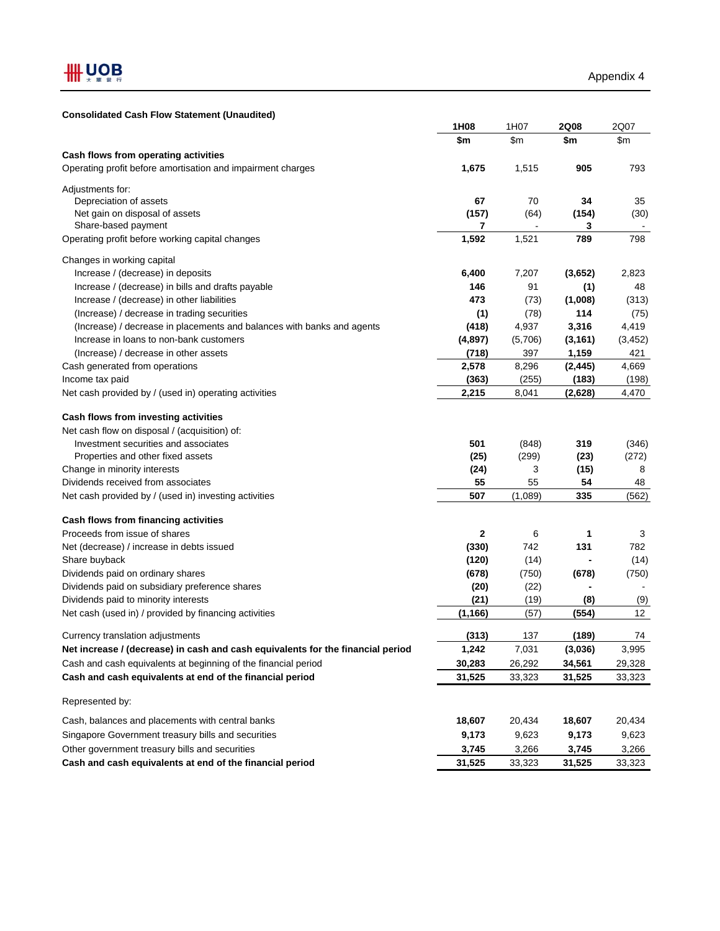#### **Consolidated Cash Flow Statement (Unaudited)**

|                                                                                 | 1H08     | 1H07    | <b>2Q08</b> | 2Q07     |
|---------------------------------------------------------------------------------|----------|---------|-------------|----------|
|                                                                                 | \$m\$    | \$m\$   | \$m         | \$m\$    |
| Cash flows from operating activities                                            |          |         |             |          |
| Operating profit before amortisation and impairment charges                     | 1,675    | 1,515   | 905         | 793      |
| Adjustments for:                                                                |          |         |             |          |
| Depreciation of assets                                                          | 67       | 70      | 34          | 35       |
| Net gain on disposal of assets                                                  | (157)    | (64)    | (154)       | (30)     |
| Share-based payment                                                             | 7        |         | 3           |          |
| Operating profit before working capital changes                                 | 1,592    | 1,521   | 789         | 798      |
| Changes in working capital                                                      |          |         |             |          |
| Increase / (decrease) in deposits                                               | 6,400    | 7,207   | (3,652)     | 2,823    |
| Increase / (decrease) in bills and drafts payable                               | 146      | 91      | (1)         | 48       |
| Increase / (decrease) in other liabilities                                      | 473      | (73)    | (1,008)     | (313)    |
| (Increase) / decrease in trading securities                                     | (1)      | (78)    | 114         | (75)     |
| (Increase) / decrease in placements and balances with banks and agents          | (418)    | 4,937   | 3,316       | 4,419    |
| Increase in loans to non-bank customers                                         | (4,897)  | (5,706) | (3, 161)    | (3, 452) |
| (Increase) / decrease in other assets                                           | (718)    | 397     | 1,159       | 421      |
| Cash generated from operations                                                  | 2,578    | 8,296   | (2, 445)    | 4,669    |
| Income tax paid                                                                 | (363)    | (255)   | (183)       | (198)    |
|                                                                                 |          |         |             |          |
| Net cash provided by / (used in) operating activities                           | 2,215    | 8,041   | (2,628)     | 4,470    |
| Cash flows from investing activities                                            |          |         |             |          |
| Net cash flow on disposal / (acquisition) of:                                   |          |         |             |          |
| Investment securities and associates                                            | 501      | (848)   | 319         | (346)    |
| Properties and other fixed assets                                               | (25)     | (299)   | (23)        | (272)    |
| Change in minority interests                                                    | (24)     | 3       | (15)        | 8        |
| Dividends received from associates                                              | 55       | 55      | 54          | 48       |
| Net cash provided by / (used in) investing activities                           | 507      | (1,089) | 335         | (562)    |
| Cash flows from financing activities                                            |          |         |             |          |
| Proceeds from issue of shares                                                   | 2        | 6       | 1           | 3        |
| Net (decrease) / increase in debts issued                                       | (330)    | 742     | 131         | 782      |
| Share buyback                                                                   | (120)    | (14)    |             | (14)     |
| Dividends paid on ordinary shares                                               | (678)    | (750)   | (678)       | (750)    |
| Dividends paid on subsidiary preference shares                                  | (20)     | (22)    |             |          |
| Dividends paid to minority interests                                            | (21)     | (19)    | (8)         | (9)      |
| Net cash (used in) / provided by financing activities                           | (1, 166) | (57)    | (554)       | 12       |
| Currency translation adjustments                                                | (313)    | 137     | (189)       | 74       |
| Net increase / (decrease) in cash and cash equivalents for the financial period | 1,242    | 7,031   | (3,036)     | 3,995    |
| Cash and cash equivalents at beginning of the financial period                  | 30,283   | 26,292  | 34,561      | 29,328   |
|                                                                                 |          |         |             |          |
| Cash and cash equivalents at end of the financial period                        | 31,525   | 33,323  | 31,525      | 33,323   |
| Represented by:                                                                 |          |         |             |          |
| Cash, balances and placements with central banks                                | 18,607   | 20,434  | 18,607      | 20,434   |
| Singapore Government treasury bills and securities                              | 9,173    | 9,623   | 9,173       | 9,623    |
| Other government treasury bills and securities                                  | 3,745    | 3,266   | 3,745       | 3,266    |
| Cash and cash equivalents at end of the financial period                        | 31,525   | 33,323  | 31,525      | 33,323   |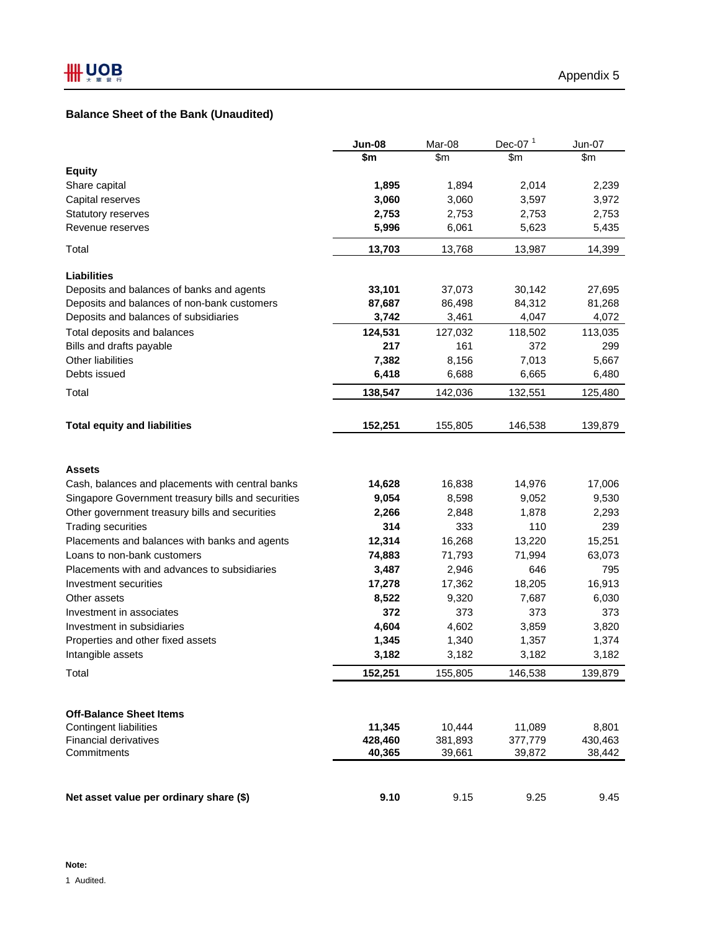# **Balance Sheet of the Bank (Unaudited)**

|                                                    | <b>Jun-08</b> | Mar-08        | Dec-07 $1$ | Jun-07  |
|----------------------------------------------------|---------------|---------------|------------|---------|
|                                                    | \$m           | $\mathsf{Sm}$ | \$m        | \$m     |
| <b>Equity</b>                                      |               |               |            |         |
| Share capital                                      | 1,895         | 1,894         | 2,014      | 2,239   |
| Capital reserves                                   | 3,060         | 3,060         | 3,597      | 3,972   |
| Statutory reserves                                 | 2,753         | 2,753         | 2,753      | 2,753   |
| Revenue reserves                                   | 5,996         | 6,061         | 5,623      | 5,435   |
| Total                                              | 13,703        | 13,768        | 13,987     | 14,399  |
| Liabilities                                        |               |               |            |         |
| Deposits and balances of banks and agents          | 33,101        | 37,073        | 30,142     | 27,695  |
| Deposits and balances of non-bank customers        | 87,687        | 86,498        | 84,312     | 81,268  |
| Deposits and balances of subsidiaries              | 3,742         | 3,461         | 4,047      | 4,072   |
| Total deposits and balances                        | 124,531       | 127,032       | 118,502    | 113,035 |
| Bills and drafts payable                           | 217           | 161           | 372        | 299     |
| Other liabilities                                  | 7,382         | 8,156         | 7,013      | 5,667   |
| Debts issued                                       | 6,418         | 6,688         | 6,665      | 6,480   |
| Total                                              | 138,547       | 142,036       | 132,551    | 125,480 |
| <b>Total equity and liabilities</b>                | 152,251       | 155,805       | 146,538    | 139,879 |
| <b>Assets</b>                                      |               |               |            |         |
| Cash, balances and placements with central banks   | 14,628        | 16,838        | 14,976     | 17,006  |
| Singapore Government treasury bills and securities | 9,054         | 8,598         | 9,052      | 9,530   |
| Other government treasury bills and securities     | 2,266         | 2,848         | 1,878      | 2,293   |
| <b>Trading securities</b>                          | 314           | 333           | 110        | 239     |
| Placements and balances with banks and agents      | 12,314        | 16,268        | 13,220     | 15,251  |
| Loans to non-bank customers                        | 74,883        | 71,793        | 71,994     | 63,073  |
| Placements with and advances to subsidiaries       | 3,487         | 2,946         | 646        | 795     |
| Investment securities                              | 17,278        | 17,362        | 18,205     | 16,913  |
| Other assets                                       | 8,522         | 9,320         | 7,687      | 6,030   |
| Investment in associates                           | 372           | 373           | 373        | 373     |
| Investment in subsidiaries                         | 4,604         | 4,602         | 3,859      | 3,820   |
| Properties and other fixed assets                  | 1,345         | 1,340         | 1,357      | 1,374   |
| Intangible assets                                  | 3,182         | 3,182         | 3,182      | 3,182   |
| Total                                              | 152,251       | 155,805       | 146,538    | 139,879 |
| <b>Off-Balance Sheet Items</b>                     |               |               |            |         |
| <b>Contingent liabilities</b>                      | 11,345        | 10,444        | 11,089     | 8,801   |
| <b>Financial derivatives</b>                       | 428,460       | 381,893       | 377,779    | 430,463 |
| Commitments                                        | 40,365        | 39,661        | 39,872     | 38,442  |
|                                                    |               |               |            |         |
| Net asset value per ordinary share (\$)            | 9.10          | 9.15          | 9.25       | 9.45    |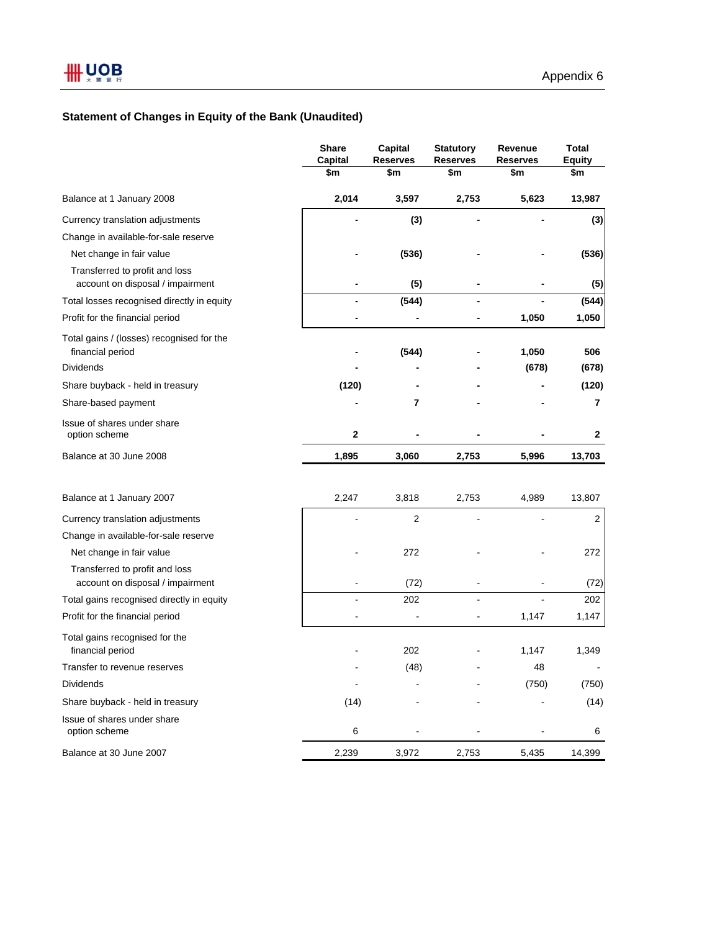# **Statement of Changes in Equity of the Bank (Unaudited)**

|                                                                    | <b>Share</b><br>Capital | Capital<br><b>Reserves</b> | <b>Statutory</b><br><b>Reserves</b> | Revenue<br><b>Reserves</b> | <b>Total</b><br><b>Equity</b> |
|--------------------------------------------------------------------|-------------------------|----------------------------|-------------------------------------|----------------------------|-------------------------------|
|                                                                    | \$m                     | \$m                        | \$m                                 | \$m                        | \$m                           |
| Balance at 1 January 2008                                          | 2,014                   | 3,597                      | 2,753                               | 5,623                      | 13,987                        |
| Currency translation adjustments                                   |                         | (3)                        |                                     |                            | (3)                           |
| Change in available-for-sale reserve                               |                         |                            |                                     |                            |                               |
| Net change in fair value                                           |                         | (536)                      |                                     |                            | (536)                         |
| Transferred to profit and loss<br>account on disposal / impairment |                         | (5)                        |                                     |                            | (5)                           |
| Total losses recognised directly in equity                         | -                       | (544)                      | $\blacksquare$                      |                            | (544)                         |
| Profit for the financial period                                    |                         |                            |                                     | 1,050                      | 1,050                         |
| Total gains / (losses) recognised for the<br>financial period      |                         | (544)                      |                                     | 1,050                      | 506                           |
| Dividends                                                          |                         |                            |                                     | (678)                      | (678)                         |
| Share buyback - held in treasury                                   | (120)                   |                            |                                     |                            | (120)                         |
| Share-based payment                                                |                         | 7                          |                                     |                            | 7                             |
| Issue of shares under share<br>option scheme                       | 2                       |                            |                                     |                            | 2                             |
| Balance at 30 June 2008                                            | 1,895                   | 3,060                      | 2,753                               | 5,996                      | 13,703                        |
| Balance at 1 January 2007                                          | 2,247                   | 3,818                      | 2,753                               | 4,989                      | 13,807                        |
| Currency translation adjustments                                   |                         | 2                          |                                     |                            | 2                             |
| Change in available-for-sale reserve                               |                         |                            |                                     |                            |                               |
| Net change in fair value                                           |                         | 272                        |                                     |                            | 272                           |
| Transferred to profit and loss<br>account on disposal / impairment |                         | (72)                       |                                     |                            | (72)                          |
| Total gains recognised directly in equity                          |                         | 202                        |                                     |                            | 202                           |
| Profit for the financial period                                    |                         |                            |                                     | 1,147                      | 1,147                         |
| Total gains recognised for the<br>financial period                 |                         | 202                        |                                     | 1,147                      | 1,349                         |
| Transfer to revenue reserves                                       |                         | (48)                       |                                     | 48                         |                               |
| Dividends                                                          |                         |                            |                                     | (750)                      | (750)                         |
| Share buyback - held in treasury                                   | (14)                    |                            |                                     |                            | (14)                          |
| Issue of shares under share<br>option scheme                       | 6                       |                            |                                     |                            | 6                             |
| Balance at 30 June 2007                                            | 2,239                   | 3,972                      | 2,753                               | 5,435                      | 14,399                        |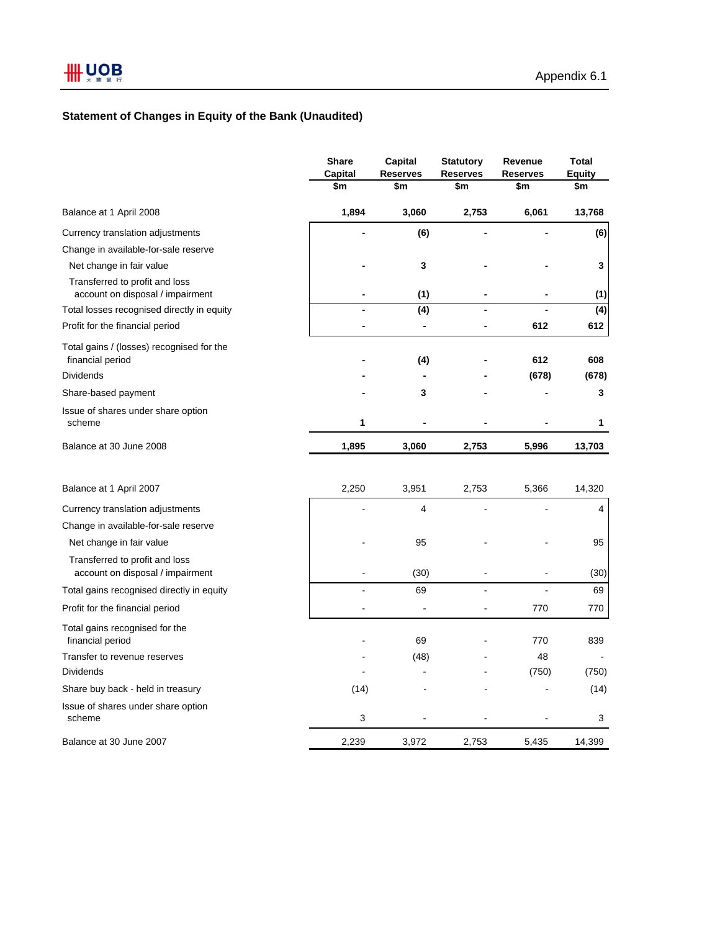# **Statement of Changes in Equity of the Bank (Unaudited)**

|                                                                    | <b>Share</b><br>Capital | Capital<br><b>Reserves</b> | <b>Statutory</b><br><b>Reserves</b> | Revenue<br><b>Reserves</b> | <b>Total</b><br><b>Equity</b> |
|--------------------------------------------------------------------|-------------------------|----------------------------|-------------------------------------|----------------------------|-------------------------------|
|                                                                    | \$m                     | \$m                        | \$m                                 | \$m                        | \$m                           |
| Balance at 1 April 2008                                            | 1,894                   | 3,060                      | 2,753                               | 6,061                      | 13,768                        |
| Currency translation adjustments                                   |                         | (6)                        |                                     |                            | (6)                           |
| Change in available-for-sale reserve                               |                         |                            |                                     |                            |                               |
| Net change in fair value                                           |                         | 3                          |                                     |                            | 3                             |
| Transferred to profit and loss<br>account on disposal / impairment |                         | (1)                        |                                     |                            | (1)                           |
| Total losses recognised directly in equity                         |                         | (4)                        |                                     |                            | $\overline{(4)}$              |
| Profit for the financial period                                    |                         | $\overline{\phantom{0}}$   |                                     | 612                        | 612                           |
| Total gains / (losses) recognised for the<br>financial period      |                         | (4)                        |                                     | 612                        | 608                           |
| <b>Dividends</b>                                                   |                         |                            |                                     | (678)                      | (678)                         |
| Share-based payment                                                |                         | 3                          |                                     |                            | 3                             |
| Issue of shares under share option<br>scheme                       | 1                       |                            |                                     |                            | 1                             |
| Balance at 30 June 2008                                            | 1,895                   | 3,060                      | 2,753                               | 5,996                      | 13,703                        |
| Balance at 1 April 2007                                            | 2,250                   | 3,951                      | 2,753                               | 5,366                      | 14,320                        |
| Currency translation adjustments                                   |                         | 4                          |                                     |                            | 4                             |
| Change in available-for-sale reserve                               |                         |                            |                                     |                            |                               |
| Net change in fair value                                           |                         | 95                         |                                     |                            | 95                            |
| Transferred to profit and loss<br>account on disposal / impairment |                         | (30)                       |                                     |                            | (30)                          |
| Total gains recognised directly in equity                          |                         | 69                         |                                     |                            | 69                            |
| Profit for the financial period                                    |                         |                            |                                     | 770                        | 770                           |
| Total gains recognised for the<br>financial period                 |                         | 69                         |                                     | 770                        | 839                           |
| Transfer to revenue reserves                                       |                         | (48)                       |                                     | 48                         |                               |
| <b>Dividends</b>                                                   |                         |                            |                                     | (750)                      | (750)                         |
| Share buy back - held in treasury                                  | (14)                    |                            |                                     |                            | (14)                          |
| Issue of shares under share option<br>scheme                       | 3                       |                            |                                     |                            | 3                             |
| Balance at 30 June 2007                                            | 2,239                   | 3,972                      | 2,753                               | 5,435                      | 14,399                        |